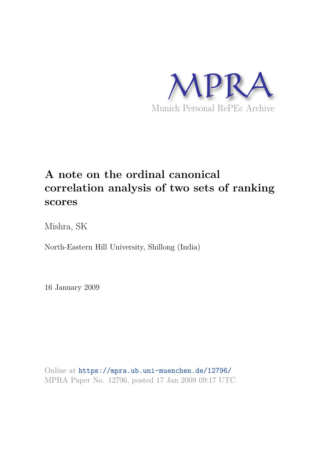

# **A note on the ordinal canonical correlation analysis of two sets of ranking scores**

Mishra, SK

North-Eastern Hill University, Shillong (India)

16 January 2009

Online at https://mpra.ub.uni-muenchen.de/12796/ MPRA Paper No. 12796, posted 17 Jan 2009 09:17 UTC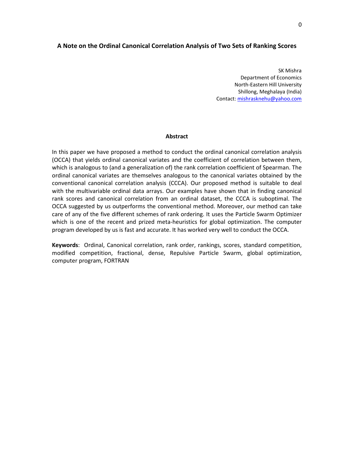## A Note on the Ordinal Canonical Correlation Analysis of Two Sets of Ranking Scores

SK Mishra Department of Economics North-Eastern Hill University Shillong, Meghalaya (India) Contact: mishrasknehu@yahoo.com

### Abstract

In this paper we have proposed a method to conduct the ordinal canonical correlation analysis (OCCA) that yields ordinal canonical variates and the coefficient of correlation between them, which is analogous to (and a generalization of) the rank correlation coefficient of Spearman. The ordinal canonical variates are themselves analogous to the canonical variates obtained by the conventional canonical correlation analysis (CCCA). Our proposed method is suitable to deal with the multivariable ordinal data arrays. Our examples have shown that in finding canonical rank scores and canonical correlation from an ordinal dataset, the CCCA is suboptimal. The OCCA suggested by us outperforms the conventional method. Moreover, our method can take care of any of the five different schemes of rank ordering. It uses the Particle Swarm Optimizer which is one of the recent and prized meta-heuristics for global optimization. The computer program developed by us is fast and accurate. It has worked very well to conduct the OCCA.

Keywords: Ordinal, Canonical correlation, rank order, rankings, scores, standard competition, modified competition, fractional, dense, Repulsive Particle Swarm, global optimization, computer program, FORTRAN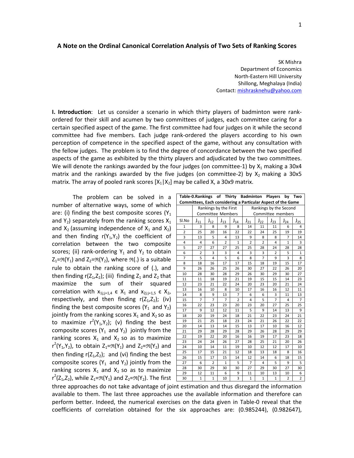#### A Note on the Ordinal Canonical Correlation Analysis of Two Sets of Ranking Scores

SK Mishra Department of Economics North-Eastern Hill University Shillong, Meghalaya (India) Contact: mishrasknehu@yahoo.com

**I. Introduction**: Let us consider a scenario in which thirty players of badminton were rankordered for their skill and acumen by two committees of judges, each committee caring for a certain specified aspect of the game. The first committee had four judges on it while the second committee had five members. Each judge rank-ordered the players according to his own perception of competence in the specified aspect of the game, without any consultation with the fellow judges. The problem is to find the degree of concordance between the two specified aspects of the game as exhibited by the thirty players and adjudicated by the two committees. We will denote the rankings awarded by the four judges (on committee-1) by  $X_1$  making a 30x4 matrix and the rankings awarded by the five judges (on committee-2) by  $X_2$  making a 30x5 matrix. The array of pooled rank scores  $[X_1|X_2]$  may be called X, a 30x9 matrix.

 The problem can be solved in a number of alternative ways, some of which are: (i) finding the best composite scores  $(Y_1)$ and  $Y_2$ ) separately from the ranking scores  $X_1$ and  $X_2$  (assuming independence of  $X_1$  and  $X_2$ ) and then finding  $r(Y_1,Y_2)$  the coefficient of correlation between the two composite scores; (ii) rank-ordering  $Y_1$  and  $Y_2$  to obtain  $Z_1 = \mathfrak{R}(Y_1)$  and  $Z_2 = \mathfrak{R}(Y_2)$ , where  $\mathfrak{R}$ (.) is a suitable rule to obtain the ranking score of (.), and then finding  $r(Z_1,Z_2)$ ; (iii) finding  $Z_1$  and  $Z_2$  that maximize the sum of their squared correlation with  $x_{1j;j=1,4} \in X_1$  and  $x_{2j;j=1,5} \in X_2$ , respectively, and then finding  $r(Z_1,Z_2)$ ; (iv) finding the best composite scores ( $Y_1$  and  $Y_2$ ) jointly from the ranking scores  $X_1$  and  $X_2$  so as to maximize  $r^2(Y_1,Y_2)$ ; (v) finding the best composite scores ( $Y_1$  and  $Y_2$ ) jointly from the ranking scores  $X_1$  and  $X_2$  so as to maximize  $r^2(Y_1,Y_2)$ , to obtain  $Z_1 = \Re(Y_1)$  and  $Z_2 = \Re(Y_2)$  and then finding  $r(Z_1,Z_2)$ ; and (vi) finding the best composite scores ( $Y_1$  and  $Y_2$ ) jointly from the ranking scores  $X_1$  and  $X_2$  so as to maximize  $r^2(Z_1,Z_2)$ , while  $Z_1 = \Re(Y_1)$  and  $Z_2 = \Re(Y_2)$ . The first

| Table-0.Rankings of Thirty                                   |                |                |                          |                |                | <b>Badminton Players</b> |                | bv             | Two            |
|--------------------------------------------------------------|----------------|----------------|--------------------------|----------------|----------------|--------------------------|----------------|----------------|----------------|
| Committees, Each considering a Particular Aspect of the Game |                |                |                          |                |                |                          |                |                |                |
|                                                              |                |                | Rankings by the First    |                |                | Rankings by the Second   |                |                |                |
|                                                              |                |                | <b>Committee Members</b> |                |                | Committee members        |                |                |                |
| Sl.No                                                        | $J_{11}$       | $J_{12}$       | $J_{13}$                 | $J_{14}$       | $J_{21}$       | $J_{22}$                 | $J_{23}$       | $J_{24}$       | $J_{25}$       |
| 1                                                            | 3              | 8              | 9                        | 8              | 14             | 11                       | 11             | 6              | 4              |
| $\overline{2}$                                               | 25             | 20             | 16                       | 22             | 22             | 24                       | 25             | 19             | 19             |
| 3                                                            | 13             | 5              | 4                        | 13             | 9              | 8                        | 8              | $\overline{7}$ | 14             |
| 4                                                            | 4              | 6              | $\overline{2}$           | $\mathbf{1}$   | $\overline{2}$ | $\overline{2}$           | 4              | $\mathbf{1}$   | 3              |
| 5                                                            | 27             | 27             | 27                       | 25             | 25             | 28                       | 24             | 28             | 28             |
| 6                                                            | $\overline{2}$ | 3              | 3                        | 4              | 3              | 3                        | $\overline{2}$ | 5              | 1              |
| $\overline{7}$                                               | 5              | $\overline{a}$ | 5                        | 6              | 8              | $\overline{7}$           | 9              | 3              | 8              |
| 8                                                            | 18             | 16             | 17                       | 17             | 15             | 18                       | 19             | 15             | 17             |
| 9                                                            | 26             | 26             | 25                       | 26             | 30             | 27                       | 22             | 26             | 20             |
| 10                                                           | 28             | 30             | 28                       | 29             | 26             | 30                       | 29             | 30             | 27             |
| 11                                                           | 11             | 18             | 19                       | 21             | 19             | 15                       | 15             | 14             | 23             |
| 12                                                           | 23             | 21             | 22                       | 24             | 20             | 23                       | 20             | 21             | 24             |
| 13                                                           | 16             | 10             | 8                        | 10             | 17             | 16                       | 16             | 12             | 11             |
| 14                                                           | 8              | 9              | 13                       | 7              | 6              | 6                        | 3              | 11             | 13             |
| 15                                                           | $\overline{7}$ | $\overline{7}$ | $\overline{7}$           | $\overline{2}$ | 4              | 5                        | $\overline{7}$ | 4              | 7              |
| 16                                                           | 22             | 23             | 23                       | 20             | 23             | 20                       | 27             | 25             | 25             |
| 17                                                           | 9              | 12             | 12                       | 11             | 5              | 9                        | 14             | 13             | 9              |
| 18                                                           | 20             | 19             | 24                       | 18             | 21             | 22                       | 23             | 24             | 21             |
| 19                                                           | 21             | 25             | 18                       | 23             | 24             | 21                       | 26             | 22             | 22             |
| 20                                                           | 14             | 13             | 14                       | 15             | 13             | 17                       | 10             | 16             | 12             |
| 21                                                           | 29             | 28             | 29                       | 28             | 29             | 26                       | 28             | 29             | 29             |
| 22                                                           | 19             | 22             | 20                       | 16             | 16             | 19                       | 17             | 23             | 18             |
| 23                                                           | 24             | 24             | 26                       | 27             | 28             | 25                       | 21             | 20             | 26             |
| 24                                                           | 10             | 14             | 11                       | 19             | 10             | 12                       | 12             | 17             | 10             |
| 25                                                           | 17             | 15             | 21                       | 12             | 18             | 13                       | 18             | 8              | 16             |
| 26                                                           | 15             | 17             | 15                       | 14             | 12             | 14                       | 6              | 18             | 15             |
| 27                                                           | 6              | 2              | $\mathbf{1}$             | 5              | 7              | 4                        | 5              | 9              | 5              |
| 28                                                           | 30             | 29             | 30                       | 30             | 27             | 29                       | 30             | 27             | 30             |
| 29                                                           | 12             | 11             | 6                        | 9              | 11             | 10                       | 13             | 10             | 6              |
| 30                                                           | 1              | $\mathbf{1}$   | 10                       | 3              | $\mathbf{1}$   | $\mathbf{1}$             | $\mathbf{1}$   | 2              | $\overline{2}$ |

three approaches do not take advantage of joint estimation and thus disregard the information available to them. The last three approaches use the available information and therefore can perform better. Indeed, the numerical exercises on the data given in Table-0 reveal that the coefficients of correlation obtained for the six approaches are: (0.985244), (0.982647),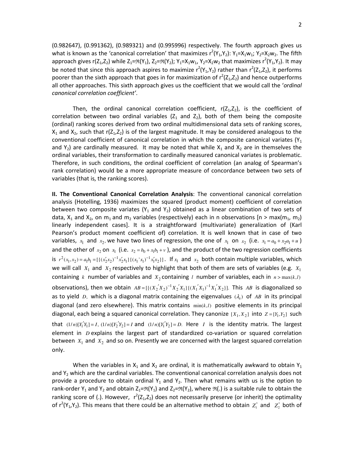(0.982647), (0.991362), (0.989321) and (0.995996) respectively. The fourth approach gives us what is known as the 'canonical correlation' that maximizes  $r^2(Y_1,Y_2)$ :  $Y_1=X_1W_1$ ;  $Y_2=X_2W_2$ . The fifth approach gives r(Z<sub>1</sub>,Z<sub>2</sub>) while Z<sub>1</sub>= $\mathfrak{R}(Y_1)$ , Z<sub>2</sub>= $\mathfrak{R}(Y_2)$ ; Y<sub>1</sub>=X<sub>1</sub>w<sub>1</sub>, Y<sub>2</sub>=X<sub>2</sub>w<sub>2</sub> that maximizes r<sup>2</sup>(Y<sub>1</sub>,Y<sub>2</sub>). It may be noted that since this approach aspires to maximize  $r^2(Y_1,Y_2)$  rather than  $r^2(Z_1,Z_2)$ , it performs poorer than the sixth approach that goes in for maximization of  $r^2(\mathsf{Z}_1,\mathsf{Z}_2)$  and hence outperforms all other approaches. This sixth approach gives us the coefficient that we would call the 'ordinal canonical correlation coefficient'.

Then, the ordinal canonical correlation coefficient,  $r(Z_1,Z_2)$ , is the coefficient of correlation between two ordinal variables  $(Z_1 \text{ and } Z_2)$ , both of them being the composite (ordinal) ranking scores derived from two ordinal multidimensional data sets of ranking scores,  $X_1$  and  $X_2$ , such that r( $Z_1$ , $Z_2$ ) is of the largest magnitude. It may be considered analogous to the conventional coefficient of canonical correlation in which the composite canonical variates  $(Y_1$ and Y<sub>2</sub>) are cardinally measured. It may be noted that while  $X_1$  and  $X_2$  are in themselves the ordinal variables, their transformation to cardinally measured canonical variates is problematic. Therefore, in such conditions, the ordinal coefficient of correlation (an analog of Spearman's rank correlation) would be a more appropriate measure of concordance between two sets of variables (that is, the ranking scores).

II. The Conventional Canonical Correlation Analysis: The conventional canonical correlation analysis (Hotelling, 1936) maximizes the squared (product moment) coefficient of correlation between two composite variates ( $Y_1$  and  $Y_2$ ) obtained as a linear combination of two sets of data,  $X_1$  and  $X_2$ , on  $m_1$  and  $m_2$  variables (respectively) each in n observations [n > max( $m_1$ , m<sub>2</sub>) linearly independent cases]. It is a straightforward (multivariate) generalization of (Karl Pearson's product moment coefficient of) correlation. It is well known that in case of two variables,  $x_1$  and  $x_2$ , we have two lines of regression, the one of  $x_1$  on  $x_2$  (i.e.  $x_1 = a_0 + x_2a_1 + u$ ) and the other of  $x_2$  on  $x_1$  (i.e.  $x_2 = b_0 + x_1b_1 + v$ ), and the product of the two regression coefficients is  $r^2(x_1, x_2) = a_1b_1 = [{(x_2'x_2)}^{-1}x_2'x_1]{(x_1'x_1)}^{-1}x_1'x_2}]$ . If  $x_1$  and  $x_2$  both contain multiple variables, which we will call  $X_1$  and  $X_2$  respectively to highlight that both of them are sets of variables (e.g.  $X_1$ containing *k* number of variables and  $X_2$  containing *l* number of variables, each in  $n > max(k, l)$ observations), then we obtain  $AB = [{(X_2'X_2)}^{-1}X_2'X_1]{(X_1'X_1)}^{-1}X_1'X_2]$ . This AB is diagonalized so as to yield *D*, which is a diagonal matrix containing the eigenvalues  $(\lambda_s)$  of AB in its principal diagonal (and zero elsewhere). This matrix contains  $min(k, l)$  positive elements in its principal diagonal, each being a squared canonical correlation. They canonize  $[X_1, X_2]$  into  $Z = [Y_1, Y_2]$  such that  $(1/n)[Y_1'Y_1]=I$ ,  $(1/n)[Y_2'Y_2]=I$  and  $(1/n)[Y_1'Y_2]=D$ . Here *I* is the identity matrix. The largest element in *D* explains the largest part of standardized co-variation or squared correlation between  $X_1$  and  $X_2$  and so on. Presently we are concerned with the largest squared correlation only.

When the variables in  $X_1$  and  $X_2$  are ordinal, it is mathematically awkward to obtain  $Y_1$ and  $Y_2$  which are the cardinal variables. The conventional canonical correlation analysis does not provide a procedure to obtain ordinal  $Y_1$  and  $Y_2$ . Then what remains with us is the option to rank-order Y<sub>1</sub> and Y<sub>2</sub> and obtain Z<sub>1</sub>= $\mathfrak{R}(Y_1)$  and Z<sub>2</sub>= $\mathfrak{R}(Y_2)$ , where  $\mathfrak{R}(.)$  is a suitable rule to obtain the ranking score of (.). However,  $r^2(Z_1,Z_2)$  does not necessarily preserve (or inherit) the optimality of  $r^2(Y_1, Y_2)$ . This means that there could be an alternative method to obtain  $Z_1^*$  and  $Z_2^*$  both of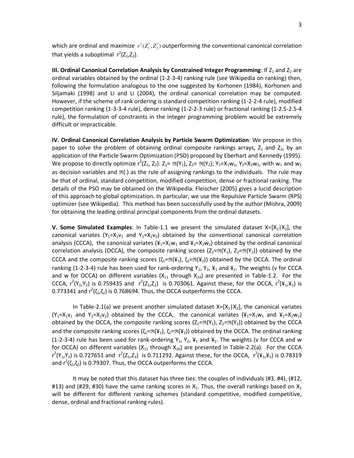which are ordinal and maximize  $r^2(Z_1^*,Z_2^*)$  outperforming the conventional canonical correlation that yields a suboptimal  $r^2(Z_1,Z_2)$ .

III. Ordinal Canonical Correlation Analysis by Constrained Integer Programming: If  $Z_1$  and  $Z_2$  are ordinal variables obtained by the ordinal (1-2-3-4) ranking rule (see Wikipedia on ranking) then, following the formulation analogous to the one suggested by Korhonen (1984), Korhonen and Siljamaki (1998) and Li and Li (2004), the ordinal canonical correlation may be computed. However, if the scheme of rank ordering is standard competition ranking (1-2-2-4 rule), modified competition ranking (1-3-3-4 rule), dense ranking (1-2-2-3 rule) or fractional ranking (1-2.5-2.5-4 rule), the formulation of constraints in the integer programming problem would be extremely difficult or impracticable.

IV. Ordinal Canonical Correlation Analysis by Particle Swarm Optimization: We propose in this paper to solve the problem of obtaining ordinal composite rankings arrays,  $Z_1$  and  $Z_2$ , by an application of the Particle Swarm Optimization (PSO) proposed by Eberhart and Kennedy (1995). We propose to directly optimize  $r^2(Z_1, Z_2)$ :  $Z_1 = \Re(Y_1), Z_2 = \Re(Y_2)$ ;  $Y_1 = X_1w_1$ ,  $Y_2 = X_2w_2$ , with  $w_1$  and  $w_2$ as decision variables and  $\mathfrak{R}(.)$  as the rule of assigning rankings to the individuals. The rule may be that of ordinal, standard competition, modified competition, dense or fractional ranking. The details of the PSO may be obtained on the Wikipedia. Fleischer (2005) gives a lucid description of this approach to global optimization. In particular, we use the Repulsive Particle Swarm (RPS) optimizer (see Wikipedia). This method has been successfully used by the author (Mishra, 2009) for obtaining the leading ordinal principal components from the ordinal datasets.

**V. Some Simulated Examples:** In Table-1.1 we present the simulated dataset  $X=[X_1|X_2]$ , the canonical variates  $(Y_1=X_1V_1$  and  $Y_2=X_2V_2)$  obtained by the conventional canonical correlation analysis (CCCA), the canonical variates  $(4.1 \times 10^{-10} \text{ m/s})$  obtained by the ordinal canonical correlation analysis (OCCA), the composite ranking scores ( $Z_1 = \Re(Y_1)$ ,  $Z_2 = \Re(Y_2)$ ) obtained by the CCCA and the composite ranking scores  $(\zeta_1=\Re(\frac{4}{1}), \zeta_2=\Re(\frac{4}{2})$  obtained by the OCCA. The ordinal ranking (1-2-3-4) rule has been used for rank-ordering  $Y_1$ ,  $Y_2$ ,  $Y_1$  and  $Y_2$ . The weights (v for CCCA and w for OCCA) on different variables ( $X_{11}$  through  $X_{24}$ ) are presented in Table-1.2. For the CCCA,  $r^2(Y_1, Y_2)$  is 0.759435 and  $r^2(Z_1, Z_2)$  is 0.703061. Against these, for the OCCA,  $r^2(Y_1, Y_2)$  is 0.773341 and  $r^2(\zeta_1,\zeta_2)$  is 0.768694. Thus, the OCCA outperforms the CCCA.

In Table-2.1(a) we present another simulated dataset  $X=[X_1|X_2]$ , the canonical variates  $(Y_1=X_1V_1$  and  $Y_2=X_2V_2)$  obtained by the CCCA, the canonical variates  $(\frac{1}{2}+X_1W_1$  and  $\frac{1}{2}=X_2W_2)$ obtained by the OCCA, the composite ranking scores  $(Z_1=\Re(Y_1), Z_2=\Re(Y_2))$  obtained by the CCCA and the composite ranking scores  $(\zeta_1=\Re(\frac{y_1}{2}), \zeta_2=\Re(\frac{y_2}{2})$  obtained by the OCCA. The ordinal ranking (1-2-3-4) rule has been used for rank-ordering  $Y_1$ ,  $Y_2$ ,  $Y_1$  and  $Y_2$ . The weights (v for CCCA and w for OCCA) on different variables  $(X_{11}$  through  $X_{26}$ ) are presented in Table-2.2(a). For the CCCA  $r^2(Y_1,Y_2)$  is 0.727651 and  $r^2(Z_1,Z_2)$  is 0.711292. Against these, for the OCCA,  $r^2(\frac{1}{2},\frac{1}{2})$  is 0.78319 and  $r^2(\zeta_1,\zeta_2)$  is 0.79307. Thus, the OCCA outperforms the CCCA.

It may be noted that this dataset has three ties: the couples of individuals (#3, #4), (#12, #13) and (#29, #30) have the same ranking scores in  $X_1$ . Thus, the overall rankings based on  $X_1$ . will be different for different ranking schemes (standard competitive, modified competitive, dense, ordinal and fractional ranking rules).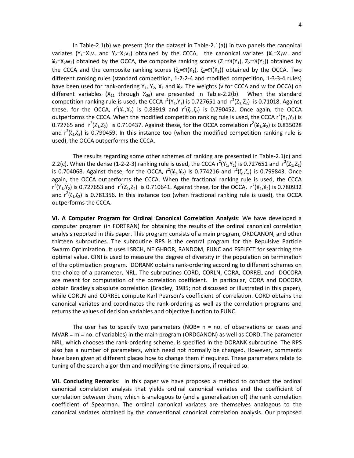In Table-2.1(b) we present (for the dataset in Table-2.1(a)) in two panels the canonical variates (Y<sub>1</sub>=X<sub>1</sub>v<sub>1</sub> and Y<sub>2</sub>=X<sub>2</sub>v<sub>2</sub>) obtained by the CCCA, the canonical variates (¥<sub>1</sub>=X<sub>1</sub>w<sub>1</sub> and  $\frac{f_2}{g_2} = X_2w_2$ ) obtained by the OCCA, the composite ranking scores  $(Z_1=\mathfrak{R}(Y_1), Z_2=\mathfrak{R}(Y_2))$  obtained by the CCCA and the composite ranking scores  $(\zeta_1=\Re(\frac{1}{2}), \zeta_2=\Re(\frac{1}{2}))$  obtained by the OCCA. Two different ranking rules (standard competition, 1-2-2-4 and modified competition, 1-3-3-4 rules) have been used for rank-ordering  $Y_1$ ,  $Y_2$ ,  $Y_1$  and  $Y_2$ . The weights (v for CCCA and w for OCCA) on different variables  $(X_{11}$  through  $X_{26}$ ) are presented in Table-2.2(b). When the standard competition ranking rule is used, the CCCA  $r^2(Y_1,Y_2)$  is 0.727651 and  $r^2(Z_1,Z_2)$  is 0.71018. Against these, for the OCCA,  $r^2(\frac{1}{4},\frac{1}{2})$  is 0.83919 and  $r^2(\zeta_1,\zeta_2)$  is 0.790452. Once again, the OCCA outperforms the CCCA. When the modified competition ranking rule is used, the CCCA  $r^2(Y_1,Y_2)$  is 0.72765 and  $r^2(Z_1,Z_2)$  is 0.710437. Against these, for the OCCA correlation  $r^2(\frac{1}{2},\frac{1}{2})$  is 0.835028 and  $r^2(\zeta_1,\zeta_2)$  is 0.790459. In this instance too (when the modified competition ranking rule is used), the OCCA outperforms the CCCA.

The results regarding some other schemes of ranking are presented in Table-2.1(c) and 2.2(c). When the dense (1-2-2-3) ranking rule is used, the CCCA  $r^2(Y_1,Y_2)$  is 0.727651 and  $r^2(Z_1,Z_2)$ is 0.704068. Against these, for the OCCA,  $r^2(\frac{1}{4},\frac{1}{4})$  is 0.774216 and  $r^2(\zeta_1,\zeta_2)$  is 0.799843. Once again, the OCCA outperforms the CCCA. When the fractional ranking rule is used, the CCCA  $r^2(Y_1,Y_2)$  is 0.727653 and  $r^2(Z_1,Z_2)$  is 0.710641. Against these, for the OCCA,  $r^2(\frac{1}{2},\frac{1}{2})$  is 0.780932 and  $r^2(\zeta_1,\zeta_2)$  is 0.781356. In this instance too (when fractional ranking rule is used), the OCCA outperforms the CCCA.

VI. A Computer Program for Ordinal Canonical Correlation Analysis: We have developed a computer program (in FORTRAN) for obtaining the results of the ordinal canonical correlation analysis reported in this paper. This program consists of a main program, ORDCANON, and other thirteen subroutines. The subroutine RPS is the central program for the Repulsive Particle Swarm Optimization. It uses LSRCH, NEIGHBOR, RANDOM, FUNC and FSELECT for searching the optimal value. GINI is used to measure the degree of diversity in the population on termination of the optimization program. DORANK obtains rank-ordering according to different schemes on the choice of a parameter, NRL. The subroutines CORD, CORLN, CORA, CORREL and DOCORA are meant for computation of the correlation coefficient. In particular, CORA and DOCORA obtain Bradley's absolute correlation (Bradley, 1985; not discussed or illustrated in this paper), while CORLN and CORREL compute Karl Pearson's coefficient of correlation. CORD obtains the canonical variates and coordinates the rank-ordering as well as the correlation programs and returns the values of decision variables and objective function to FUNC.

The user has to specify two parameters (NOB=  $n = no$ . of observations or cases and MVAR = m = no. of variables) in the main program (ORDCANON) as well as CORD. The parameter NRL, which chooses the rank-ordering scheme, is specified in the DORANK subroutine. The RPS also has a number of parameters, which need not normally be changed. However, comments have been given at different places how to change them if required. These parameters relate to tuning of the search algorithm and modifying the dimensions, if required so.

VII. Concluding Remarks: In this paper we have proposed a method to conduct the ordinal canonical correlation analysis that yields ordinal canonical variates and the coefficient of correlation between them, which is analogous to (and a generalization of) the rank correlation coefficient of Spearman. The ordinal canonical variates are themselves analogous to the canonical variates obtained by the conventional canonical correlation analysis. Our proposed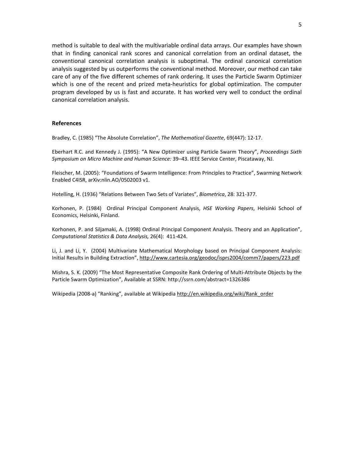method is suitable to deal with the multivariable ordinal data arrays. Our examples have shown that in finding canonical rank scores and canonical correlation from an ordinal dataset, the conventional canonical correlation analysis is suboptimal. The ordinal canonical correlation analysis suggested by us outperforms the conventional method. Moreover, our method can take care of any of the five different schemes of rank ordering. It uses the Particle Swarm Optimizer which is one of the recent and prized meta-heuristics for global optimization. The computer program developed by us is fast and accurate. It has worked very well to conduct the ordinal canonical correlation analysis.

#### References

Bradley, C. (1985) "The Absolute Correlation", The Mathematical Gazette, 69(447): 12-17.

Eberhart R.C. and Kennedy J. (1995): "A New Optimizer using Particle Swarm Theory", Proceedings Sixth Symposium on Micro Machine and Human Science: 39–43. IEEE Service Center, Piscataway, NJ.

Fleischer, M. (2005): "Foundations of Swarm Intelligence: From Principles to Practice", Swarming Network Enabled C4ISR, arXiv:nlin.AO/0502003 v1.

Hotelling, H. (1936) "Relations Between Two Sets of Variates", Biometrica, 28: 321-377.

Korhonen, P. (1984) Ordinal Principal Component Analysis, HSE Working Papers, Helsinki School of Economics, Helsinki, Finland.

Korhonen, P. and Siljamaki, A. (1998) Ordinal Principal Component Analysis. Theory and an Application", Computational Statistics & Data Analysis, 26(4): 411-424.

Li, J. and Li, Y. (2004) Multivariate Mathematical Morphology based on Principal Component Analysis: Initial Results in Building Extraction", http://www.cartesia.org/geodoc/isprs2004/comm7/papers/223.pdf

Mishra, S. K. (2009) "The Most Representative Composite Rank Ordering of Multi-Attribute Objects by the Particle Swarm Optimization", Available at SSRN: http://ssrn.com/abstract=1326386

Wikipedia (2008-a) "Ranking", available at Wikipedia http://en.wikipedia.org/wiki/Rank\_order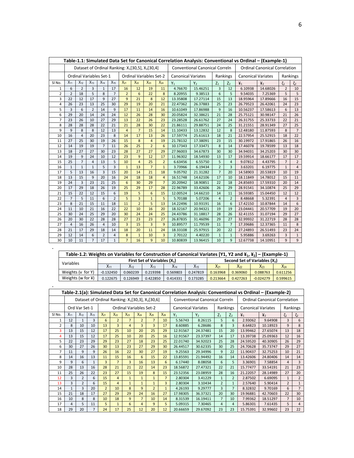|                    |                |                |                                |                |                |                |                |                                                                          |                | Table-1.1: Simulated Data Set for Canonical Correlation Analysis: Conventional vs Ordinal - (Example-1) |                                       |                |                |                           |                                      |                |                |
|--------------------|----------------|----------------|--------------------------------|----------------|----------------|----------------|----------------|--------------------------------------------------------------------------|----------------|---------------------------------------------------------------------------------------------------------|---------------------------------------|----------------|----------------|---------------------------|--------------------------------------|----------------|----------------|
|                    |                |                |                                |                |                |                |                | Dataset of Ordinal Ranking: X <sub>1</sub> [30,5], X <sub>2</sub> [30,4] |                |                                                                                                         | <b>Conventional Canonical Correln</b> |                |                |                           | <b>Ordinal Canonical Correlation</b> |                |                |
|                    |                |                | <b>Ordinal Variables Set-1</b> |                |                |                |                | <b>Ordinal Variables Set-2</b>                                           |                | <b>Canonical Variates</b>                                                                               |                                       |                | Rankings       | <b>Canonical Variates</b> |                                      |                | Rankings       |
| SI <sub>No</sub> . | $X_{11}$       | $X_{12}$       | $X_{13}$                       | $X_{14}$       | $X_{15}$       | $X_{21}$       | $X_{22}$       | $X_{23}$                                                                 | $X_{24}$       | $Y_1$                                                                                                   | Y <sub>2</sub>                        | $Z_1$          | Z <sub>2</sub> | $\mathbf{Y}_1$            | $\frac{1}{2}$                        | $\zeta_1$      | $\zeta_2$      |
| $\mathbf{1}$       | 6              | $\overline{2}$ | 3                              | $\mathbf{1}$   | 17             | 16             | 12             | 19                                                                       | 11             | 4.76670                                                                                                 | 15.46251                              | 3              | 12             | 6.10938                   | 14.68026                             | $\overline{2}$ | 10             |
| $\overline{2}$     | $\overline{2}$ | 18             | 5                              | 8              | $\overline{7}$ | $\overline{2}$ | 6              | 22                                                                       | 8              | 8.20955                                                                                                 | 9.38513                               | 6              | 5              | 9.54035                   | 7.25369                              | 5              | 5              |
| 3                  | 22             | 12             | 17                             | 9              | 27             | 9              | 21             | 8                                                                        | 12             | 13.35808                                                                                                | 17.27114                              | 15             | 13             | 18.95964                  | 17.89666                             | 16             | 15             |
| $\overline{4}$     | 26             | 23             | 13                             | 25             | 30             | 29             | 19             | 20                                                                       | 21             | 22.47362                                                                                                | 26.37883                              | 25             | 23             | 26.79523                  | 26.42061                             | 24             | 23             |
| 5                  | $\overline{3}$ | 6              | $\overline{2}$                 | 14             | 9              | 17             | 11             | 14                                                                       | 16             | 10.61049                                                                                                | 17.86988                              | 9              | 16             | 10.56237                  | 17.58613                             | 6              | 13             |
| 6                  | 29             | 20             | 14                             | 24             | 24             | 12             | 26             | 28                                                                       | 30             | 20.05824                                                                                                | 32.38621                              | 21             | 28             | 25.75121                  | 30.98147                             | 21             | 26             |
| $\overline{7}$     | 23             | 26             | 10                             | 27             | 29             | 13             | 22             | 26                                                                       | 23             | 23.28528                                                                                                | 26.61762                              | 27             | 24             | 26.31755                  | 25.33733                             | 22             | 21             |
| 8                  | 28             | 28             | 28                             | 22             | 21             | 21             | 28             | 30                                                                       | 22             | 21.86111                                                                                                | 29.88751                              | 24             | 25             | 31.21551                  | 28.91349                             | 27             | 25             |
| 9                  | 9              | 8              | 8                              | 12             | 13             | $\overline{4}$ | $\overline{7}$ | 15                                                                       | 14             | 11.10433                                                                                                | 13.12832                              | 12             | 8              | 12.48180                  | 11.87593                             | 8              | $\overline{7}$ |
| 10                 | 16             | 4              | 20                             | 23             | 8              | 14             | 17             | 13                                                                       | 26             | 17.59774                                                                                                | 25.61613                              | 18             | 21             | 22.57954                  | 25.52915                             | 18             | 22             |
| 11                 | 27             | 25             | 30                             | 19             | 26             | 15             | 8              | $\overline{4}$                                                           | 19             | 21.78132                                                                                                | 17.38091                              | 23             | 15             | 30.19972                  | 17.91865                             | 26             | 16             |
| 12                 | 14             | 19             | 19                             | $\overline{7}$ | 11             | 26             | 25             | $\overline{2}$                                                           | 6              | 10.17343                                                                                                | 17.33471                              | 8              | 14             | 17.46078                  | 19.78599                             | 13             | 18             |
| 13                 | 18             | 27             | 27                             | 30             | 23             | 28             | 27             | 27                                                                       | 29             | 27.96003                                                                                                | 34.67873                              | 30             | 30             | 34.94031                  | 34.25203                             | 30             | 30             |
| 14                 | 19             | 9              | 24                             | 10             | 12             | 23             | 9              | 12                                                                       | 17             | 11.96302                                                                                                | 18.54930                              | 13             | 17             | 19.59914                  | 18.66177                             | 17             | 17             |
| 15                 | 25             | $\overline{7}$ | 4                              | 13             | 5              | 10             | 4              | 25                                                                       | $\overline{2}$ | 6.63456                                                                                                 | 6.55750                               | 5              | 4              | 9.07812                   | 4.43795                              | $\overline{7}$ | $\overline{2}$ |
| 16                 | 1              | $\mathbf{1}$   | 1                              | 5              | 3              | $\mathbf{1}$   | 13             | $\overline{7}$                                                           | $\mathbf{1}$   | 3.73966                                                                                                 | 6.19434                               | $\overline{2}$ | 3              | 3.63201                   | 6.19775                              | $\mathbf{1}$   | 4              |
| 17                 | 5              | 13             | 16                             | 3              | 15             | 20             | 14             | 21                                                                       | 18             | 9.05792                                                                                                 | 21.31282                              | $\overline{7}$ | 20             | 14.58903                  | 20.53819                             | 10             | 19             |
| 18                 | 13             | 15             | 9                              | 20             | 16             | 24             | 18             | 18                                                                       | $\overline{4}$ | 16.51748                                                                                                | 14.62106                              | 17             | 10             | 18.11849                  | 14.78012                             | 15             | 11             |
| 19                 | 24             | 3              | 23                             | 21             | 25             | 6              | 30             | 29                                                                       | $\overline{7}$ | 20.20942                                                                                                | 18.90851                              | 22             | 18             | 24.85693                  | 17.59310                             | 20             | 14             |
| 20                 | 17             | 29             | 18                             | 26             | 19             | 25             | 29             | 17                                                                       | 28             | 22.96789                                                                                                | 33.42606                              | 26             | 29             | 28.91541                  | 34.10874                             | 25             | 29             |
| 21                 | 15             | 22             | 12                             | 15             | 6              | 19             | 5              | 6                                                                        | 15             | 12.00524                                                                                                | 14.66210                              | 14             | 11             | 16.59385                  | 15.04450                             | 12             | 12             |
| 22                 | $\overline{7}$ | 5              | 11                             | 6              | $\overline{2}$ | 5              | $\overline{3}$ | $\mathbf{1}$                                                             | 5              | 5.70188                                                                                                 | 5.07206                               | $\overline{4}$ | $\overline{2}$ | 8.48668                   | 5.32391                              | $\overline{4}$ | $\overline{3}$ |
| 23                 | 8              | 21             | 15                             | 11             | 18             | 11             | $\overline{2}$ | 5                                                                        | 13             | 14.22496                                                                                                | 10.93191                              | 16             | 6              | 17.42150                  | 10.87844                             | 14             | 6              |
| 24                 | 11             | 10             | 21                             | 16             | 22             | 22             | 10             | 16                                                                       | 20             | 18.32167                                                                                                | 20.94321                              | 19             | 19             | 23.04441                  | 20.57709                             | 19             | 20             |
| 25                 | 30             | 24             | 25                             | 29             | 20             | 30             | 24             | 24                                                                       | 25             | 24.43786                                                                                                | 31.18817                              | 28             | 26             | 32.41155                  | 31.07194                             | 29             | 27             |
| 26                 | 20             | 30             | 22                             | 28             | 28             | 27             | 23             | 23                                                                       | 27             | 26.87835                                                                                                | 31.46096                              | 29             | 27             | 32.99932                  | 31.22719                             | 28             | 28             |
| 27                 | $\overline{4}$ | 16             | 26                             | $\overline{4}$ | 10             | $\overline{3}$ | 15             | $\overline{3}$                                                           | 9              | 10.89577                                                                                                | 11.79539                              | 11             | 7              | 17.39686                  | 12.37365                             | 11             | 8              |
| 28                 | 21             | 17             | 29                             | 18             | 14             | 18             | 20             | 11                                                                       | 24             | 18.33108                                                                                                | 25.97915                              | 20             | 22             | 27.24893                  | 26.51493                             | 23             | 24             |
| 29                 | 12             | 14             | 6                              | $\overline{2}$ | $\overline{4}$ | 8              | $\mathbf{1}$   | 10                                                                       | 3              | 2.70122                                                                                                 | 4.40220                               | $\mathbf{1}$   | $\mathbf{1}$   | 5.95886                   | 3.69263                              | 3              | $\mathbf{1}$   |
| 30                 | 10             | 11             | $\overline{7}$                 | 17             | $\mathbf{1}$   | $\overline{7}$ | 16             | 9                                                                        | 10             | 10.80839                                                                                                | 13.96415                              | 10             | 9              | 12.67738                  | 14.10951                             | 9              | 9              |

|                           | Table-1.2: Weights on Variables for Construction of Canonical Variates [Y1, Y2 and $\frac{1}{4}$ , $\frac{1}{4}$ ] – (Example-1) |          |                                |          |          |                                 |          |             |          |  |  |
|---------------------------|----------------------------------------------------------------------------------------------------------------------------------|----------|--------------------------------|----------|----------|---------------------------------|----------|-------------|----------|--|--|
| Variables                 |                                                                                                                                  |          | First Set of Variables $(X_1)$ |          |          | Second Set of Variables $(X_2)$ |          |             |          |  |  |
|                           | $X_{11}$                                                                                                                         | $X_{12}$ | $X_{13}$                       | $X_{14}$ | $X_{15}$ | $X_{21}$                        | $X_{22}$ | $X_{23}$    | $X_{24}$ |  |  |
| Weights (v for Y)         | $-0.132450$                                                                                                                      | 0.060239 | 0.219398                       | 0.569803 | 0.247819 | 0.163968                        | 0.369060 | 0.088763    | 0.611256 |  |  |
| Weights (w for $\angle$ ) | 0.122675                                                                                                                         | 0.126949 | 0.422850                       | 0.414331 | 0.173285 | 0.213664                        | 0.427263 | $-0.024279$ | 0.599615 |  |  |

|                    |              |                |              |                |                                                                          |                         |                |                |                | Table-2.1(a): Simulated Data Set for Canonical Correlation Analysis: Conventional vs Ordinal – (Example-2) |                                       |                |                |                           |                                      |                |                |
|--------------------|--------------|----------------|--------------|----------------|--------------------------------------------------------------------------|-------------------------|----------------|----------------|----------------|------------------------------------------------------------------------------------------------------------|---------------------------------------|----------------|----------------|---------------------------|--------------------------------------|----------------|----------------|
|                    |              |                |              |                | Dataset of Ordinal Ranking: X <sub>1</sub> [30,3], X <sub>2</sub> [30,6] |                         |                |                |                |                                                                                                            | <b>Conventional Canonical Correln</b> |                |                |                           | <b>Ordinal Canonical Correlation</b> |                |                |
|                    |              | Ord Var Set-1  |              |                |                                                                          | Ordinal Variables Set-2 |                |                |                | <b>Canonical Variates</b>                                                                                  |                                       |                | Rankings       | <b>Canonical Variates</b> |                                      |                | Rankings       |
| SI <sub>No</sub> . | $X_{11}$     | $X_{12}$       | $X_{13}$     | $X_{21}$       | $X_{22}$                                                                 | $X_{23}$                | $X_{24}$       | $X_{25}$       | $X_{26}$       | $Y_1$                                                                                                      | Y <sub>2</sub>                        | $Z_1$          | Z <sub>2</sub> | $\mathbf{Y}_1$            | $\mathbf{y}_2$                       | $\zeta_1$      | $\zeta_2$      |
| $\mathbf{1}$       | 12           | $\mathbf{1}$   | 3            | 6              | $\overline{2}$                                                           | $\overline{7}$          | $\overline{2}$ | $\overline{7}$ | 10             | 5.56743                                                                                                    | 8.26115                               | 5              | 6              | 2.93062                   | 9.64908                              | 3              | 6              |
| $\overline{2}$     | 8            | 10             | 10           | 13             | 3                                                                        | $\overline{4}$          | 3              | 3              | 17             | 8.60885                                                                                                    | 6.28686                               | 8              | 3              | 8.64823                   | 10.18923                             | 9              | 8              |
| 3                  | 13           | 15             | 12           | 17             | 25                                                                       | 10                      | 20             | 25             | 29             | 12.91567                                                                                                   | 24.37481                              | 15             | 20             | 13.99462                  | 27.65074                             | 13             | 18             |
| 4                  | 13           | 15             | 12           | 17             | 25                                                                       | 10                      | 20             | 25             | 16             | 12.91567                                                                                                   | 23.37397                              | 14             | 17             | 13.39738                  | 25.09363                             | 12             | 16             |
| 5                  | 22           | 23             | 29           | 29             | 23                                                                       | 27                      | 18             | 23             | 25             | 22.01740                                                                                                   | 34.92023                              | 25             | 28             | 24.59520                  | 40.30905                             | 26             | 29             |
| 6                  | 30           | 27             | 26           | 30             | 13                                                                       | 23                      | 27             | 29             | 30             | 26.44517<br>30.62335                                                                                       |                                       | 30             | 25             | 24.70628                  | 35.73747                             | 29             | 27             |
| 7                  | 11           | 9              | 9            | 26             | 16                                                                       | 22                      | 30             | 27             | 19             | 9.25563<br>29.34996                                                                                        |                                       | 9              | 22             | 11.90437                  | 32.75253                             | 10             | 21             |
| 8                  | 14           | 16             | 13           | 11             | 15                                                                       | 16                      | 6              | 15             | 22             | 13.85591                                                                                                   | 21.94492                              | 16             | 14             | 13.42606                  | 24.80406                             | 14             | 14             |
| 9                  | 9            | 6              | $\mathbf{1}$ | 3              | 7                                                                        | 3                       | 16             | 13             | 6              | 6.17440                                                                                                    | 8.08058                               | 6              | 5              | 3.36901                   | 7.58854                              | $\overline{4}$ | 3              |
| 10                 | 28           | 13             | 16           | 28             | 21                                                                       | 21                      | 22             | 14             | 23             | 18.56872                                                                                                   | 27.47321                              | 22             | 21             | 15.77477                  | 33.54191                             | 21             | 23             |
| 11                 | 25           | 26             | 22           | 23             | 27                                                                       | 15                      | 19             | 8              | 15             | 23.52356                                                                                                   | 23.08959                              | 28             | 16             | 21.22057                  | 28.14989                             | 27             | 20             |
| 12                 | 3            | $\overline{2}$ | 6            | 15             | $\overline{4}$                                                           | $\mathbf{1}$            | $\mathbf{1}$   | $\mathbf{1}$   | $\overline{7}$ | 2.80304                                                                                                    | 3.41229                               | $\mathbf{1}$   | $\overline{2}$ | 2.87502                   | 6.69095                              | $\mathbf{1}$   | $\overline{2}$ |
| 13                 | 3            | $\overline{2}$ | 6            | 15             | $\overline{4}$                                                           | $\mathbf{1}$            | $\mathbf{1}$   | $\mathbf{1}$   | 3              | 2.80304                                                                                                    | 3.10434                               | $\overline{2}$ | $\mathbf{1}$   | 2.57640                   | 5.90414                              | $\overline{2}$ | $\mathbf{1}$   |
| 14                 | $\mathbf{1}$ | 3              | 20           | $\overline{2}$ | 10                                                                       | 8                       | 9              | $\overline{2}$ | $\mathbf{1}$   | 4.26193                                                                                                    | 9.29777                               | 3              | $\overline{7}$ | 8.32832                   | 9.70169                              | 6              | $\overline{7}$ |
| 15                 | 21           | 18             | 17           | 27             | 29                                                                       | 29                      | 24             | 16             | 27             | 17.98305                                                                                                   | 36.37321                              | 20             | 30             | 19.96881                  | 42.70603                             | 22             | 30             |
| 16                 | 10           | 8              | 8            | 10             | 18                                                                       | 9                       | $\overline{7}$ | 10             | 14             | 8.31539                                                                                                    | 16.19411                              | 7              | 10             | 7.99362                   | 18.51297                             | $\overline{7}$ | 10             |
| 17                 | 4            | 5              | 11           | 5              | $\mathbf{1}$                                                             | 6                       | $\overline{4}$ | 9              | 5              | 5.09315                                                                                                    | 7.30465                               | 4              | 4              | 5.86301                   | 7.61435                              | 5              | $\overline{4}$ |
| 18                 | 29           | 20             | 7            | 24             | 17                                                                       | 25                      | 12             | 20             | 12             | 20.66659                                                                                                   | 29.67092                              | 23             | 23             | 15.75391                  | 32.99602                             | 23             | 22             |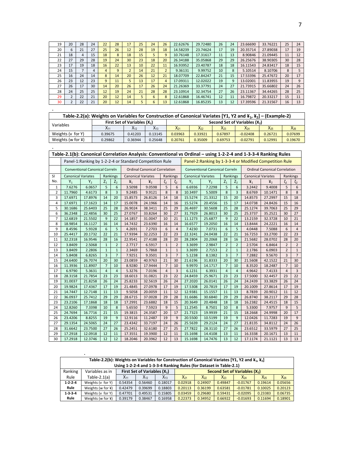| 19 | 20 | 28 | 24 | 22 | 28 | 17 | 25 | 24 | 26 | 22.62676 | 29.72480 | 26 | 24 | 23.66690 | 33.76221 | 25 | 24 |
|----|----|----|----|----|----|----|----|----|----|----------|----------|----|----|----------|----------|----|----|
| 20 | 6  | 21 | 27 | 25 | 26 | 12 | 28 | 19 | 18 | 14.58239 | 23.74624 | 17 | 19 | 20.35714 | 27.89038 | 17 | 19 |
| 21 | 18 | 4  | 15 | 18 | 8  | 18 | 15 |    | 9  | 10.76148 | 17.31617 | 11 | 13 | 8.90846  | 21.09445 | 11 | 12 |
| 22 | 27 | 29 | 28 | 19 | 24 | 30 | 23 | 18 | 20 | 26.34188 | 35.05868 | 29 | 29 | 26.25676 | 38.90305 | 30 | 28 |
| 23 | 17 | 19 | 18 | 16 | 22 | 13 | 10 | 22 | 11 | 16.93952 | 23.40787 | 18 | 18 | 16.11543 | 24.83417 | 18 | 15 |
| 24 | 15 |    | 4  | 4  | 9  |    | 14 | 21 |    | 9.36131  | 9.99752  | 10 | 8  | 5.10514  | 8.10706  | 8  |    |
| 25 | 16 | 24 | 14 | 8  | 14 | 20 | 26 | 12 | 21 | 18.07709 | 22.84247 | 21 | 15 | 17.53396 | 25.47672 | 20 | 17 |
| 26 | 23 | 12 | 23 | 9  | 11 |    | 13 | 17 | 4  | 17.09311 | 12.02022 | 19 | 9  | 13.02001 | 11.83955 | 19 | 9  |
| 27 | 26 | 17 | 30 | 14 | 20 | 26 | 17 | 26 | 24 | 21.26369 | 33.37791 | 24 | 27 | 21.73915 | 35.66802 | 24 | 26 |
| 28 | 24 | 25 | 25 | 12 | 19 | 24 | 21 | 28 | 28 | 23.10914 | 32.34754 | 27 | 26 | 23.11367 | 34.44265 | 28 | 25 |
| 29 |    | 22 | 21 | 20 | 12 | 14 |    | 6  | 8  | 12.61868 | 16.46741 | 12 | 11 | 16.79872 | 20.33217 | 15 | 11 |
| 30 |    | 22 | 21 | 20 | 12 | 14 |    | b  | 13 | 12.61868 | 16.85235 | 13 | 12 | 17.39596 | 21.31567 | 16 | 13 |

|                           | Table-2.2(a): Weights on Variables for Construction of Canonical Variates [Y1, Y2 and $\frac{1}{4}$ , $\frac{1}{4}$ , $\frac{1}{4}$ = (Example-2) |                                |          |                                 |          |          |            |          |          |  |  |  |  |
|---------------------------|---------------------------------------------------------------------------------------------------------------------------------------------------|--------------------------------|----------|---------------------------------|----------|----------|------------|----------|----------|--|--|--|--|
| Variables                 |                                                                                                                                                   | First Set of Variables $(X_1)$ |          | Second Set of Variables $(X_2)$ |          |          |            |          |          |  |  |  |  |
|                           | $X_{11}$                                                                                                                                          | $X_{12}$                       | $X_{13}$ | $X_{21}$                        | $X_{22}$ | $X_{23}$ | $X_{24}$   | $X_{25}$ | $X_{26}$ |  |  |  |  |
| Weights (v for Y)         | 0.39675                                                                                                                                           | 0.41203                        | 0.13145  | 0.03963                         | 0.33921  | 0.67897  | $-0.02408$ | 0.26721  | 0.07699  |  |  |  |  |
| Weights (w for $\angle$ ) | 0.29862                                                                                                                                           | 0.36944                        | 0.25648  | 0.20761                         | 0.35009  | 0.69753  | $-0.02791$ | 0.12991  | 0.19670  |  |  |  |  |

|                | Table-2.1(b): Canonical Correlation Analysis: Conventional vs Ordinal – using 1-2-2-4 and 1-3-3-4 Ranking Rules |                                       |                 |                |                                                          |                                      |                |                |                           |                                                          |                |                |                           |                                      |                |                |
|----------------|-----------------------------------------------------------------------------------------------------------------|---------------------------------------|-----------------|----------------|----------------------------------------------------------|--------------------------------------|----------------|----------------|---------------------------|----------------------------------------------------------|----------------|----------------|---------------------------|--------------------------------------|----------------|----------------|
|                |                                                                                                                 |                                       |                 |                | Panel-1: Ranking by 1-2-2-4 or Standard Competition Rule |                                      |                |                |                           | Panel-2: Ranking by 1-3-3-4 or Modified Competition Rule |                |                |                           |                                      |                |                |
|                |                                                                                                                 | <b>Conventional Canonical Correln</b> |                 |                |                                                          | <b>Ordinal Canonical Correlation</b> |                |                |                           | <b>Conventional Canonical Correln</b>                    |                |                |                           | <b>Ordinal Canonical Correlation</b> |                |                |
| <b>SI</b>      | <b>Canonical Variates</b>                                                                                       |                                       |                 | Rankings       | <b>Canonical Variates</b>                                |                                      |                | Rankings       | <b>Canonical Variates</b> |                                                          |                | Rankings       | <b>Canonical Variates</b> |                                      |                | Rankings       |
| No.            | $Y_1$                                                                                                           | Y <sub>2</sub>                        | $Z_1$           | $Z_2$          | $\mathbf{Y}_1$                                           | $\frac{1}{2}$                        | $\zeta_1$      | $\zeta_2$      | $Y_1$                     | Y <sub>2</sub>                                           | $Z_1$          | $Z_2$          | $\mathbf{Y}_1$            | $\frac{1}{2}$                        | $\zeta_1$      | $\zeta_2$      |
| $\mathbf{1}$   | 7.6276                                                                                                          | 6.0657                                | 5               | 6              | 3.5098                                                   | 9.0598                               | 5              | 6              | 6.6936                    | 7.2298                                                   | 5              | 6              | 3.2442                    | 9.4008                               | 5              | 6              |
| $\overline{2}$ | 11.7960                                                                                                         | 4.6173                                | 8               | $\overline{3}$ | 9.2485                                                   | 9.9121                               | 8              | 8              | 10.3497                   | 5.5009                                                   | 8              | $\overline{3}$ | 8.6769                    | 10.1471                              | 8              | 8              |
| 3              | 17.6971                                                                                                         | 17.8976                               | 14              | 20             | 15.8573                                                  | 26.8126                              | 14             | 18             | 15.5274                   | 21.3312                                                  | 15             | 20             | 14.8573                   | 27.2997                              | 15             | 18             |
| $\overline{4}$ | 17.6971                                                                                                         | 17.1623                               | 14              | 17             | 15.0078                                                  | 24.1966                              | 14             | 16             | 15.5274                   | 20.4556                                                  | 15             | 17             | 14.0738                   | 24.8426                              | 15             | 16             |
| 5              | 30.1686                                                                                                         | 25.6403                               | 25              | 28             | 26.9024                                                  | 38.3411                              | 25             | 29             | 26.4697                   | 30.5608                                                  | 25             | 28             | 25.1274                   | 39.7063                              | 25             | 29             |
| 6              | 36.2348                                                                                                         | 22.4856                               | 30              | 25             | 27.0767                                                  | 33.8264                              | 30             | 27             | 31.7929                   | 26.8013                                                  | 30             | 25             | 25.3737                   | 35.2521                              | 30             | 27             |
| $\overline{7}$ | 12.6819                                                                                                         | 21.5502                               | 9               | 22             | 14.1857                                                  | 31.0047                              | 10             | 21             | 11.1273                   | 25.6877                                                  | 9              | 22             | 13.2159                   | 32.3728                              | 10             | 21             |
| 8              | 18.9854                                                                                                         | 16.1127                               | 16              | 14             | 14.7432                                                  | 23.6390                              | 16             | 14             | 16.6577                   | 19.2050                                                  | 16             | 14             | 13.8444                   | 24.2221                              | 16             | 14             |
| 9              | 8.4596                                                                                                          | 5.9328                                | 6               | 5              | 4.2691                                                   | 7.2703                               | 6              | $\overline{4}$ | 7.4230                    | 7.0731                                                   | 6              | 5              | 4.0448                    | 7.5088                               | 6              | $\overline{4}$ |
| 10             | 25.4417                                                                                                         | 20.1732                               | 22              | 21             | 17.9394                                                  | 32.2253                              | 22             | 23             | 22.3241                   | 24.0438                                                  | 22             | 21             | 16.7253                   | 33.2700                              | 22             | 23             |
| 11             | 32.2318                                                                                                         | 16.9546                               | 28              | 16             | 22.9541                                                  | 27.4188                              | 28             | 20             | 28.2804                   | 20.2068                                                  | 28             | 16             | 21.5682                   | 28.0702                              | 28             | 20             |
| 12             | 3.8409                                                                                                          | 2.5068                                | $\mathbf{1}$    | $\overline{2}$ | 2.7717                                                   | 6.5917                               | $\mathbf{1}$   | $\overline{2}$ | 3.3699                    | 2.9847                                                   | $\overline{2}$ | $\overline{2}$ | 2.5704                    | 6.8464                               | $\overline{2}$ | $\overline{2}$ |
| 13             | 3.8409                                                                                                          | 2.2806                                | $\mathbf{1}$    | $\mathbf{1}$   | 2.3469                                                   | 5.7868                               | $\mathbf{1}$   | $\mathbf{1}$   | 3.3699                    | 2.7153                                                   | $\overline{2}$ | $\mathbf{1}$   | 2.1786                    | 6.0903                               | $\overline{2}$ | $\mathbf{1}$   |
| 14             | 5.8408                                                                                                          | 6.8265                                | $\overline{3}$  | $\overline{7}$ | 7.9251                                                   | 9.3501                               | 3              | $\overline{7}$ | 5.1238                    | 8.1382                                                   | 3              | 7              | 7.2882                    | 9.5670                               | $\overline{3}$ | $\overline{7}$ |
| 15             | 24.6400                                                                                                         | 26.7074                               | 20              | 30             | 23.0859                                                  | 40.9763                              | 21             | 30             | 21.6196                   | 31.8333                                                  | 20             | 30             | 21.5608                   | 42.1522                              | 21             | 30             |
| 16             | 11.3936                                                                                                         | 11.8907                               | $7\overline{ }$ | 10             | 8.9280                                                   | 17.9444                              | $\overline{7}$ | 10             | 9.9970                    | 14.1717                                                  | 7              | 10             | 8.3520                    | 18.2487                              | $\overline{7}$ | 10             |
| 17             | 6.9790                                                                                                          | 5.3631                                | $\overline{4}$  | $\overline{4}$ | 5.3276                                                   | 7.0196                               | $\overline{4}$ | 3              | 6.1231                    | 6.3931                                                   | $\overline{4}$ | $\overline{4}$ | 4.9642                    | 7.4133                               | $\overline{4}$ | 3              |
| 18             | 28.3158                                                                                                         | 21.7854                               | 23              | 23             | 18.6013                                                  | 31.0821                              | 23             | 22             | 24.8459                   | 25.9671                                                  | 23             | 23             | 17.5000                   | 32.4457                              | 23             | 22             |
| 19             | 31.0037                                                                                                         | 21.8258                               | 26              | 24             | 25.8233                                                  | 32.5619                              | 26             | 24             | 27.2020                   | 26.0141                                                  | 26             | 24             | 24.2439                   | 33.3829                              | 26             | 24             |
| 20             | 19.9824                                                                                                         | 17.4367                               | 17              | 19             | 21.4845                                                  | 27.0978                              | 17             | 19             | 17.5308                   | 20.7819                                                  | 17             | 19             | 20.1009                   | 27.8614                              | 17             | 19             |
| 21             | 14.7447                                                                                                         | 12.7148                               | 11              | 13             | 9.5058                                                   | 20.0059                              | 11             | 12             | 12.9381                   | 15.1557                                                  | 11             | 13             | 8.7839                    | 20.9012                              | 11             | 12             |
| 22             | 36.0937                                                                                                         | 25.7412                               | 29              | 29             | 28.6715                                                  | 37.0028                              | 29             | 28             | 31.6686                   | 30.6840                                                  | 29             | 29             | 26.8740                   | 38.2117                              | 29             | 28             |
| 23             | 23.2106                                                                                                         | 17.1868                               | 18              | 18             | 17.2991                                                  | 23.6882                              | 18             | 15             | 20.3649                   | 20.4848                                                  | 18             | 18             | 16.2382                   | 24.4515                              | 18             | 15             |
| 24             | 12.8260                                                                                                         | 7.3398                                | 10              | 8              | 5.6550                                                   | 7.5923                               | 9              | 5              | 11.2545                   | 8.7501                                                   | 10             | 8              | 5.3300                    | 7.9757                               | 9              | 5              |
| 25             | 24.7694                                                                                                         | 16.7716                               | 21              | 15             | 19.3815                                                  | 24.3587                              | 20             | 17             | 21.7323                   | 19.9939                                                  | 21             | 15             | 18.2668                   | 24.9998                              | 20             | 17             |
| 26             | 23.4206                                                                                                         | 8.8255                                | 19              | 9              | 12.9116                                                  | 11.2487                              | 19             | 9              | 20.5500                   | 10.5199                                                  | 19             | 9              | 12.0426                   | 11.7283                              | 19             | 9              |
| 27             | 29.1354                                                                                                         | 24.5065                               | 24              | 27             | 23.4342                                                  | 33.7197                              | 24             | 26             | 25.5639                   | 29.2124                                                  | 24             | 27             | 21.8135                   | 34.8112                              | 24             | 26             |
| 28             | 31.6642                                                                                                         | 23.7500                               | 27              | 26             | 25.2451                                                  | 32.6180                              | 27             | 25             | 27.7822                   | 28.3110                                                  | 27             | 26             | 23.6512                   | 33.5979                              | 27             | 25             |
| 29             | 17.2918                                                                                                         | 12.0918                               | 12              | 11             | 17.3551                                                  | 19.3900                              | 12             | 11             | 15.1698                   | 14.4108                                                  | 13             | 11             | 16.3338                   | 20.1671                              | 13             | 11             |
| 30             | 17.2918                                                                                                         | 12.3746                               | 12              | 12             | 18.2046                                                  | 20.3962                              | 12             | 13             | 15.1698                   | 14.7476                                                  | 13             | 12             | 17.1174                   | 21.1121                              | 13             | 13             |

|                 | $\bullet$                                                                                                               |                                                                    |                                |          |                                           |          |          |            |          |          |  |  |  |
|-----------------|-------------------------------------------------------------------------------------------------------------------------|--------------------------------------------------------------------|--------------------------------|----------|-------------------------------------------|----------|----------|------------|----------|----------|--|--|--|
|                 | Table-2.2(b): Weights on Variables for Construction of Canonical Variates [Y1, Y2 and $\mathbf{Y}_1$ , $\mathbf{Y}_2$ ] |                                                                    |                                |          |                                           |          |          |            |          |          |  |  |  |
|                 |                                                                                                                         | Using 1-2-2-4 and 1-3-3-4 Ranking Rules (for Dataset in Table-2.1) |                                |          |                                           |          |          |            |          |          |  |  |  |
| Ranking         | Variables as in                                                                                                         |                                                                    | First Set of Variables $(X_1)$ |          | Second Set of Variables (X <sub>2</sub> ) |          |          |            |          |          |  |  |  |
| Rule            | $Table-2.1(a)$                                                                                                          | $X_{11}$                                                           | $X_{12}$                       | $X_{13}$ | $X_{21}$                                  | $X_{22}$ | $X_{23}$ | $X_{24}$   | $X_{25}$ | $X_{26}$ |  |  |  |
| $1 - 2 - 2 - 4$ | Weights (v for Y)                                                                                                       | 0.54354                                                            | 0.56460                        | 0.18017  | 0.02918                                   | 0.24907  | 0.49847  | $-0.01767$ | 0.19614  | 0.05656  |  |  |  |
| Rule            | Weights (w for ¥)                                                                                                       | 0.42479                                                            | 0.39699                        | 0.18803  | 0.20113                                   | 0.36199  | 0.63581  | $-0.01781$ | 0.10025  | 0.20123  |  |  |  |
| $1 - 3 - 3 - 4$ | Weights (v for Y)                                                                                                       | 0.47701                                                            | 0.49531                        | 0.15805  | 0.03459                                   | 0.29680  | 0.59431  | $-0.02095$ | 0.23383  | 0.06735  |  |  |  |
| Rule            | Weights (w for ¥)                                                                                                       | 0.39179                                                            | 0.38467                        | 0.16958  | 0.22373                                   | 0.34952  | 0.66922  | $-0.01693$ | 0.11694  | 0.18901  |  |  |  |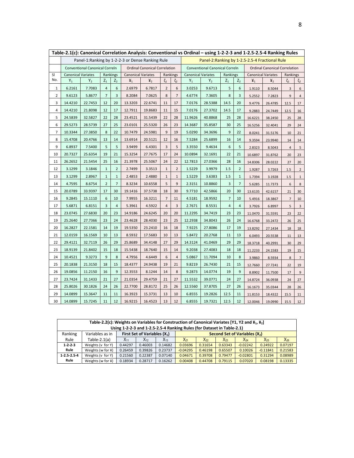|                | Table-2.1(c): Canonical Correlation Analysis: Conventional vs Ordinal - using 1-2-2-3 and 1-2.5-2.5-4 Ranking Rules |                                |                |                |                                                   |                                      |                |                |                           |                                                 |                |                |                           |                                      |                |                |
|----------------|---------------------------------------------------------------------------------------------------------------------|--------------------------------|----------------|----------------|---------------------------------------------------|--------------------------------------|----------------|----------------|---------------------------|-------------------------------------------------|----------------|----------------|---------------------------|--------------------------------------|----------------|----------------|
|                |                                                                                                                     |                                |                |                | Panel-1: Ranking by 1-2-2-3 or Dense Ranking Rule |                                      |                |                |                           | Panel-2: Ranking by 1-2.5-2.5-4 Fractional Rule |                |                |                           |                                      |                |                |
|                |                                                                                                                     | Conventional Canonical Correln |                |                |                                                   | <b>Ordinal Canonical Correlation</b> |                |                |                           | <b>Conventional Canonical Correln</b>           |                |                |                           | <b>Ordinal Canonical Correlation</b> |                |                |
| <b>SI</b>      | <b>Canonical Variates</b>                                                                                           |                                |                | Rankings       | <b>Canonical Variates</b>                         |                                      |                | Rankings       | <b>Canonical Variates</b> |                                                 | Rankings       |                | <b>Canonical Variates</b> |                                      | Rankings       |                |
| No.            | $Y_1$                                                                                                               | $Y_2$                          | $Z_1$          | $Z_2$          | $\mathbf{\underline{Y}}_1$                        | $\frac{1}{2}$                        | $\zeta_1$      | $\zeta_2$      | $Y_1$                     | $Y_2$                                           | $Z_1$          | $Z_2$          | $\ddot{x}_1$              | $\mathbf{Y}_2$                       | $\zeta_1$      | $\zeta_2$      |
| $\mathbf{1}$   | 6.2161                                                                                                              | 7.7083                         | 4              | 6              | 2.6979                                            | 6.7817                               | $\overline{2}$ | 6              | 3.0253                    | 9.6713                                          | 5              | 6              | 1.9110                    | 8.5044                               | 3              | 6              |
| 2              | 9.6123                                                                                                              | 5.8677                         | $\overline{7}$ | 3              | 8.2084                                            | 7.0625                               | 8              | $\overline{7}$ | 4.6774                    | 7.3605                                          | 8              | 3              | 5.2552                    | 7.2823                               | 9              | $\overline{4}$ |
| 3              | 14.4210                                                                                                             | 22.7453                        | 12             | 20             | 13.3203                                           | 22.6741                              | 11             | 17             | 7.0176                    | 28.5388                                         | 14.5           | 20             | 9.4776                    | 26.4785                              | 12.5           | 17             |
| 4              | 14.4210                                                                                                             | 21.8098                        | 12             | 17             | 12.7911                                           | 19.8683                              | 11             | 15             | 7.0176                    | 27.3702                                         | 14.5           | 17             | 9.2883                    | 24.7449                              | 12.5           | 16             |
| 5              | 24.5839                                                                                                             | 32.5827                        | 22             | 28             | 23.4521                                           | 31.5439                              | 22             | 28             | 11.9626                   | 40.8868                                         | 25             | 28             | 16.6221                   | 38.2450                              | 25             | 28             |
| 6              | 29.5273                                                                                                             | 28.5739                        | 27             | 25             | 23.0101                                           | 25.5320                              | 26             | 23             | 14.3687                   | 35.8587                                         | 30             | 25             | 16.5256                   | 32.4041                              | 29             | 24             |
| $\overline{7}$ | 10.3344                                                                                                             | 27.3850                        | 8              | 22             | 10.7479                                           | 24.5981                              | 9              | 19             | 5.0290                    | 34.3696                                         | 9              | 22             | 8.0241                    | 31.5176                              | 10             | 21             |
| 8              | 15.4708                                                                                                             | 20.4766                        | 13             | 14             | 13.6914                                           | 20.5121                              | 12             | 16             | 7.5284                    | 25.6899                                         | 16             | 14             | 9.3594                    | 23.9940                              | 14             | 14             |
| 9              | 6.8937                                                                                                              | 7.5400                         | 5              | 5              | 3.9499                                            | 6.4301                               | 3              | 5              | 3.3550                    | 9.4634                                          | 6              | 5              | 2.8323                    | 8.5043                               | $\overline{4}$ | 5              |
| 10             | 20.7327                                                                                                             | 25.6354                        | 19             | 21             | 15.3254                                           | 27.7675                              | 17             | 24             | 10.0894                   | 32.1691                                         | 22             | 21             | 10.6897                   | 31.8762                              | 20             | 23             |
| 11             | 26.2652                                                                                                             | 21.5454                        | 25             | 16             | 21.3978                                           | 25.5067                              | 24             | 22             | 12.7813                   | 27.0366                                         | 28             | 16             | 14.8306                   | 28.0222                              | 27             | 20             |
| 12             | 3.1299                                                                                                              | 3.1846                         | $\mathbf{1}$   | $\overline{2}$ | 2.7499                                            | 3.3513                               | $\mathbf{1}$   | $\overline{2}$ | 1.5229                    | 3.9979                                          | 1.5            | $\overline{2}$ | 1.9287                    | 3.7263                               | 1.5            | $\overline{2}$ |
| 13             | 3.1299                                                                                                              | 2.8967                         | $\mathbf{1}$   | $\mathbf{1}$   | 2.4853                                            | 2.4880                               | $1\,$          | $\mathbf{1}$   | 1.5229                    | 3.6383                                          | 1.5            | $\mathbf{1}$   | 1.7394                    | 3.1928                               | 1.5            | $\mathbf{1}$   |
| 14             | 4.7595                                                                                                              | 8.6754                         | $\overline{2}$ | 7              | 8.3234                                            | 10.6558                              | 5              | 9              | 2.3151                    | 10.8860                                         | 3              | $\overline{7}$ | 5.6285                    | 11.7373                              | 6              | 8              |
| 15             | 20.0789                                                                                                             | 33.9397                        | 17             | 30             | 19.1416                                           | 37.5738                              | 18             | 30             | 9.7710                    | 42.5866                                         | 20             | 30             | 13.6135                   | 42.6157                              | 21             | 30             |
| 16             | 9.2845                                                                                                              | 15.1110                        | 6              | 10             | 7.9955                                            | 16.3211                              | $\overline{7}$ | 11             | 4.5181                    | 18.9592                                         | $\overline{7}$ | 10             | 5.4916                    | 18.3867                              | $\overline{7}$ | 10             |
| 17             | 5.6871                                                                                                              | 6.8151                         | 3              | $\overline{4}$ | 5.3961                                            | 4.5922                               | 4              | 3              | 2.7671                    | 8.5531                                          | $\overline{4}$ | $\overline{4}$ | 3.7926                    | 6.8997                               | 5              | 3              |
| 18             | 23.0745                                                                                                             | 27.6830                        | 20             | 23             | 14.9186                                           | 24.6245                              | 20             | 20             | 11.2295                   | 34.7419                                         | 23             | 23             | 11.0470                   | 31.5591                              | 23             | 22             |
| 19             | 25.2640                                                                                                             | 27.7366                        | 23             | 24             | 23.4628                                           | 28.4030                              | 23             | 25             | 12.2938                   | 34.8043                                         | 26             | 24             | 16.6768                   | 33.2472                              | 26             | 25             |
| 20             | 16.2827                                                                                                             | 22.1581                        | 14             | 19             | 19.5350                                           | 23.2410                              | 16             | 18             | 7.9225                    | 27.8086                                         | 17             | 19             | 13.8292                   | 27.1434                              | 18             | 18             |
| 21             | 12.0159                                                                                                             | 16.1569                        | 10             | 13             | 8.5932                                            | 17.5683                              | 10             | 13             | 5.8472                    | 20.2768                                         | 11             | 13             | 6.0493                    | 20.5538                              | 11             | 13             |
| 22             | 29.4121                                                                                                             | 32.7119                        | 26             | 29             | 25.8689                                           | 34.4148                              | 27             | 29             | 14.3124                   | 41.0469                                         | 29             | 29             | 18.3718                   | 40.2991                              | 30             | 29             |
| 23             | 18.9139                                                                                                             | 21.8402                        | 15             | 18             | 15.5438                                           | 18.7640                              | 15             | 14             | 9.2038                    | 27.4083                                         | 18             | 18             | 11.2233                   | 24.1583                              | 19             | 15             |
| 24             | 10.4521                                                                                                             | 9.3273                         | 9              | 8              | 4.7956                                            | 4.6449                               | 6              | $\overline{4}$ | 5.0867                    | 11.7094                                         | 10             | 8              | 3.9860                    | 8.5934                               | 8              | 7              |
| 25             | 20.1838                                                                                                             | 21.3150                        | 18             | 15             | 18.4377                                           | 24.9438                              | 19             | 21             | 9.8219                    | 26.7430                                         | 21             | 15             | 12.7660                   | 27.7241                              | 22             | 19             |
| 26             | 19.0856                                                                                                             | 11.2150                        | 16             | 9              | 12.3553                                           | 8.1244                               | 14             | 8              | 9.2873                    | 14.0774                                         | 19             | 9              | 8.8902                    | 11.7500                              | 17             | $9\,$          |
| 27             | 23.7424                                                                                                             | 31.1433                        | 21             | 27             | 21.0354                                           | 29.4759                              | 21             | 27             | 11.5532                   | 39.0771                                         | 24             | 27             | 14.8724                   | 36.0938                              | 24             | 27             |
| 28             | 25.8026                                                                                                             | 30.1826                        | 24             | 26             | 22.7700                                           | 28.8172                              | 25             | 26             | 12.5560                   | 37.8705                                         | 27             | 26             | 16.1673                   | 35.0344                              | 28             | 26             |
| 29             | 14.0899                                                                                                             | 15.3647                        | 11             | 11             | 16.3923                                           | 15.3731                              | 13             | 10             | 6.8555                    | 19.2826                                         | 12.5           | 11             | 11.8153                   | 18.4322                              | 15.5           | 11             |
| 30             | 14.0899                                                                                                             | 15.7245                        | 11             | 12             | 16.9215                                           | 16.4523                              | 13             | 12             | 6.8555                    | 19.7321                                         | 12.5           | 12             | 12.0046                   | 19.0990                              | 15.5           | 12             |

|                     | Table-2.2(c): Weights on Variables for Construction of Canonical Variates [Y1, Y2 and $\mathbf{Y}_1$ , $\mathbf{Y}_2$ ]<br>Using 1-2-2-3 and 1-2.5-2.5-4 Ranking Rules (for Dataset in Table-2.1) |          |                                |          |            |          |          |                                           |            |          |
|---------------------|---------------------------------------------------------------------------------------------------------------------------------------------------------------------------------------------------|----------|--------------------------------|----------|------------|----------|----------|-------------------------------------------|------------|----------|
| Ranking             | Variables as in                                                                                                                                                                                   |          | First Set of Variables $(X_1)$ |          |            |          |          | Second Set of Variables (X <sub>2</sub> ) |            |          |
| Rule                | $Table-2.1(a)$                                                                                                                                                                                    | $X_{11}$ | $X_{12}$                       | $X_{13}$ | $X_{21}$   | $X_{22}$ | $X_{23}$ | $X_{24}$                                  | $X_{25}$   | $X_{26}$ |
| $1 - 2 - 2 - 3$     | Weights (v for Y)                                                                                                                                                                                 | 0.44297  | 0.46003                        | 0.14682  | 0.03696    | 0.31654  | 0.63343  | $-0.02242$                                | 0.24922    | 0.07197  |
| Rule                | Weights (w for $\angle$ )                                                                                                                                                                         | 0.26459  | 0.39826                        | 0.23737  | $-0.04295$ | 0.46198  | 0.65507  | 0.10026                                   | $-0.11841$ | 0.21583  |
| $1 - 2.5 - 2.5 - 4$ | Weights (v for Y)                                                                                                                                                                                 | 0.21560  | 0.22387                        | 0.07140  | 0.04671    | 0.39708  | 0.79477  | $-0.02801$                                | 0.31294    | 0.08989  |
| Rule                | Weights (w for $\angle$ )                                                                                                                                                                         | 0.18934  | 0.28717                        | 0.16262  | 0.00408    | 0.44708  | 0.79115  | 0.07020                                   | 0.08198    | 0.13335  |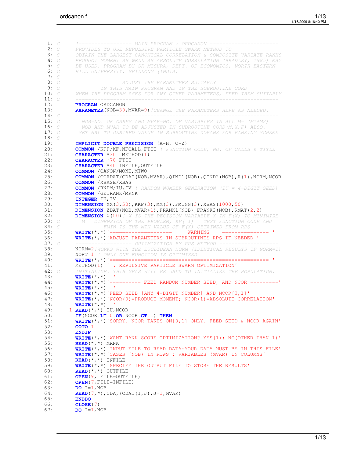1: *C |---------------- MAIN PROGRAM : ORDCANON ---*<br>2: *C PROVIDES TO USE REPULSIVE PARTICLE SWARM METHOL* 2: *C PROVIDES TO USE REPULSIVE PARTICLE SWARM METHOD TO* 3: *C OBTAIN THE LARGEST CANONICAL CORRELATION & COMPOSITE VARIATE RANKS* 4: *C PRODUCT MOMENT AS WELL AS ABSOLUTE CORRELATION (BRADLEY, 1985) MAY* 5: *C BE USED. PROGRAM BY SK MISHRA, DEPT. OF ECONOMICS, NORTH-EASTERN* 6: *C HILL UNIVERSITY, SHILLONG (INDIA)* 7: *C -----------------------------------------------------------------* 8: *C ADJUST THE PARAMETERS SUITABLY* 9: *C IN THIS MAIN PROGRAM AND IN THE SOBROUTINE CORD* 10: *C WHEN THE PROGRAM ASKS FOR ANY OTHER PARAMETERS, FEED THEM SUITABLY* 11: *C -----------------------------------------------------------------* 12: **PROGRAM** ORDCANON 13: **PARAMETER**(NOB=30,MVAR=9)*!CHANGE THE PARAMETERS HERE AS NEEDED.* 14: *C -----------------------------------------------------------------* 15: *C NOB=NO. OF CASES AND MVAR=NO. OF VARIABLES IN ALL M= (M1+M2)* 16: *C NOB AND MVAR TO BE ADJUSTED IN SUBROUTINE CORD(M,X,F) ALSO.* 17: *C SET NRL TO DESIRED VALUE IN SUBROUTINE DORANK FOR RANKING SCHEME* 18: *C -----------------------------------------------------------------* 19: **IMPLICIT DOUBLE PRECISION** (A-H, 0-Z)<br>20: **COMMON** /KEE/KE.NECALL.ETIT / EUNCTION 20: **COMMON** /KFF/KF, NFCALL, FTIT *! FUNCTION CODE, NO. OF CALLS & TITLE*<br>21: **CHARACTER** \*30 METHOD(1) **CHARACTER** \*30 METHOD(1) 22: **CHARACTER** \*70 FTIT 23: **CHARACTER** \*40 INFILE, OUTFILE<br>24: **COMMON** / CANON/MONE, MTWO **COMMON** / CANON/MONE, MTWO 25: **COMMON** /CORDAT/CDAT(NOB, MVAR), QIND1(NOB), QIND2(NOB), R(1), NORM, NCOR<br>26: **COMMON** /XBASE/XBAS 26: **COMMON** /XBASE/XBAS 27: **COMMON** /RNDM/IU,IV *! RANDOM NUMBER GENERATION (IU = 4-DIGIT SEED)* 28: **COMMON** /GETRANK/MRNK<br>29: **INTEGER** IU.IV 29: **INTEGER** IU, IV<br>30: **DIMENSION** XX( 30: **DIMENSION** XX(3,50),KKF(3),MM(3),FMINN(3),XBAS(1000,50) 31: **DIMENSION** ZDAT(NOB,MVAR+1),FRANK1(NOB),FRANK2(NOB),RMAT(2,2)<br>32: **DIMENSION** X(50)! X IS THE DECISION VARIABLE X IN F(X) TO MIN 32: **DIMENSION** X(50)*! X IS THE DECISION VARIABLE X IN F(X) TO MINIMIZE*<br>33: *C*  $M = DIMENSION OF THE PROBLEM, KF(=1) = TEST FUNCTION CODE AND$ 33: *C*  $M = DIMENSION OF THE PROBLEM, KF(=1) = TEST FUNCTION CODE AND 34: C FMIN IS THE MIN VALUE OF F(X) OBTAINED FROM RPS$ 34: *C FMIN IS THE MIN VALUE OF F(X) OBTAINED FROM RPS* 35: **WRITE**(\*,\*)'===================== WARNING ===========<br>36: **WRITE**(\*,\*)'ADJUST PARAMETERS IN SUBROUTINES RPS IF NEEDED 36: **WRITE**(\*,\*)'ADJUST PARAMETERS IN SUBROUTINES RPS IF NEEDED ' 37: *C ------------------ OPTIMIZATION BY RPS METHOD -------------------* 38: NORM=2*!WORKS WITH THE EUCLIDEAN NORM (IDENTICAL RESULTS IF NORM=1)* 39: NOPT=1 *! ONLY ONE FUNCTION IS OPTIMIZED* 40: **WRITE**(\*,\*)'=================================================== ' 41: METHOD(1)=' : REPULSIVE PARTICLE SWARM OPTIMIZATION' 42: *C INITIALIZE. THIS XBAS WILL BE USED TO INITIALIZE THE POPULATION.* 43: **WRITE**(\*,\*)' ' 44: **WRITE**(\*,\*)'---------- FEED RANDOM NUMBER SEED, AND NCOR ---------' 45: **WRITE** $(*, *)$  ''<br>46: **WRITE** $(*, *)$  'FEE 46: **WRITE**(\*,\*)'FEED SEED [ANY 4-DIGIT NUMBER] AND NCOR[0,1]' 47: **WRITE**(\*,\*)'NCOR(0)=PRODUCT MOMENT; NCOR(1)=ABSOLUTE CORRELATION' 48: **WRITE**(\*,\*)' ' 49: 1 **READ**(\*,\*) IU, NCOR<br>50: **IF**(NCOR.LT.0.OR.NO 50: **IF**(NCOR**.LT.**0**.OR.**NCOR**.GT.**1) **THEN** 51: **WRITE**(\*,\*)'SORRY. NCOR TAKES ON[0,1] ONLY. FEED SEED & NCOR AGAIN' 52: **GOTO** 1 53: **ENDIF** 54: **WRITE**(\*,\*)'WANT RANK SCORE OPTIMIZATION? YES(1); NO(OTHER THAN 1)'<br>55: **READ**(\*,\*) MRNK 55: **READ**(\*,\*) MRNK<br>56: **WRITE**(\*,\*)'INPU 56: **WRITE**(\*,\*)'INPUT FILE TO READ DATA:YOUR DATA MUST BE IN THIS FILE' 57: **WRITE**(\*,\*)'CASES (NOB) IN ROWS ; VARIABLES (MVAR) IN COLUMNS' 58: **READ**(\*,\*) INFILE<br>59: **WRITE**(\*,\*)'SPECII 59: **WRITE**(\*,\*)'SPECIFY THE OUTPUT FILE TO STORE THE RESULTS'<br>60: **READ(\*.\*)** OUTFILE 60: **READ**(\*,\*) OUTFILE 61: **OPEN**(9, FILE=OUTFILE)<br>62: **OPEN**(7, FILE=INFILE) 62: **OPEN**(7,FILE=INFILE) 63: **DO** I=1,NOB 64: **READ**(7, \*), CDA, (CDAT(I, J), J=1, MVAR)<br>65: **ENDDO** 65: **ENDDO** 66: **CLOSE**(7) 67: **DO** I=1,NOB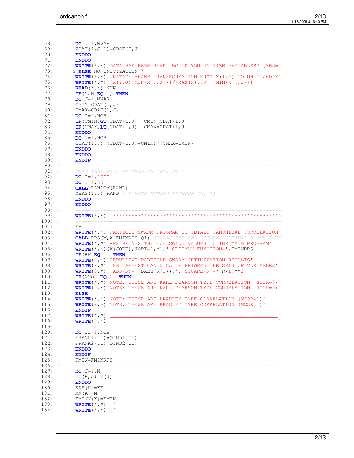| 68:          | $DO$ $J=1$ , MVAR                                                                        |
|--------------|------------------------------------------------------------------------------------------|
| 69:          | $ZDAT(I,J+1)=CDAT(I,J)$                                                                  |
| 70:          |                                                                                          |
|              | <b>ENDDO</b>                                                                             |
| 71:          | <b>ENDDO</b>                                                                             |
| 72:          | <b>WRITE</b> $(*,*)$ 'DATA HAS BEEN READ. WOULD YOU UNITIZE VARIABLES? [YES=1            |
| 73:          | & ELSE NO UNITIZATION]'                                                                  |
| 74:          | <b>WRITE</b> $(*$ , $*$ ) 'UNITIZE MEANS TRANSFORMATION FROM $X(I,J)$ TO UNITIZED X'     |
| 75:          | <b>WRITE</b> $(*, *)$ $[ X (I, J) - MIN(X (., J)) ] / [MAX (X (., J)) - MIN(X (., J)) ]$ |
| 76:          | <b>READ</b> $(* , * )$ NUN                                                               |
| 77:          | $IF$ (NUN.EQ.1) THEN                                                                     |
| 78:          | $DO$ $J=1$ , MVAR                                                                        |
|              |                                                                                          |
| 79:          | CMIN=CDAT $(1, J)$                                                                       |
| 80:          | $CMAX = CDAT(1, J)$                                                                      |
| 81:          | $DO I=2, NOB$                                                                            |
| 82:          | IF $(CMIN.GT.CDAT(I,J))$ CMIN=CDAT $(I,J)$                                               |
| 83:          | IF $(CMAX, LT.CDAT(I,J))$ $CMAX=CDAT(I,J)$                                               |
| 84:          | <b>ENDDO</b>                                                                             |
| 85:          | $DO I=1, NOB$                                                                            |
| 86:          | $CDAT(I,J) = (CDAT(I,J) - CMIN) / (CMAX - CMIN)$                                         |
| 87:          | <b>ENDDO</b>                                                                             |
|              |                                                                                          |
| 88:          | <b>ENDDO</b>                                                                             |
| 89:          | <b>ENDIF</b>                                                                             |
| 90: $C$      |                                                                                          |
| 91: C        | THIS XBAS WILL BE USED AS INITIAL X                                                      |
| 92:          | <b>DO</b> I=1,1000                                                                       |
| 93:          | <b>DO</b> $J=1, 50$                                                                      |
| 94:          | <b>CALL</b> RANDOM (RAND)                                                                |
| 95:          | <b>XBAS(I, J)=RAND</b> ! RANDOM NUMBER BETWEEN (0, 1)                                    |
|              |                                                                                          |
| 96:          | <b>ENDDO</b>                                                                             |
| 97:          | <b>ENDDO</b>                                                                             |
| 98: $C$      |                                                                                          |
| 99:          |                                                                                          |
| 100: C       |                                                                                          |
|              |                                                                                          |
| 101:         | $K = 1$                                                                                  |
|              |                                                                                          |
| 102:         | <b>WRITE</b> (*,*) 'PARTICLE SWARM PROGRAM TO OBTAIN CANONICAL CORRELATION'              |
| 103:         | <b>CALL RPS (M, X, FMINRPS, Q1)</b> ! CALLS RPS AND RETURNS OPTIMAL X AND FMIN           |
| 104:         | <b>WRITE</b> (*,*)'RPS BRINGS THE FOLLOWING VALUES TO THE MAIN PROGRAM'                  |
| 105:         | <b>WRITE</b> $(*, *)$ (X(JOPT), JOPT=1, M), ' OPTIMUM FUNCTION=', FMINRPS                |
| 106:         | $IF(KF.EQ.1)$ THEN                                                                       |
| 107:         | <b>WRITE (9, *) 'REPULSIVE PARTICLE SWARM OPTIMIZATION RESULTS'</b>                      |
| 108:         | <b>WRITE</b> (9,*)'THE LARGEST CANONICAL R BETWEEN THE SETS OF VARIABLES'                |
| 109:         |                                                                                          |
|              | <b>WRITE</b> $(9,*)'$ ABS $(R) = ',$ DABS $(R(1))$ , $';$ SQUARE $(R) = ', R(1) * * 2$   |
| 110:         | IF (NCOR.EQ.0) THEN                                                                      |
| 111:         | <b>WRITE</b> (*,*)'NOTE: THESE ARE KARL PEARSON TYPE CORRELATION (NCOR=0)'               |
| 112:         | <b>WRITE (9, *) '</b> NOTE: THESE ARE KARL PEARSON TYPE CORRELATION (NCOR=0)'            |
| 113:         | <b>ELSE</b>                                                                              |
| 114:         | WRITE (*,*) 'NOTE: THESE ARE BRADLEY TYPE CORRELATION (NCOR=1) '                         |
| 115:         | WRITE (9,*) 'NOTE: THESE ARE BRADLEY TYPE CORRELATION (NCOR=1)'                          |
| 116:         | <b>ENDIF</b>                                                                             |
| 117:         | <b>WRITE</b> $({}^{\star}, {}^{\star})$ '                                                |
|              |                                                                                          |
| 118:         | <b>WRITE</b> $(9, \star)$ '                                                              |
| 119:         |                                                                                          |
| 120:         | $DO$ $II=1$ , $NOB$                                                                      |
| 121:         | $FRANK1 (II) = QIND1 (II)$                                                               |
| 122:         | $FRANK2(II)=QIND2(II)$                                                                   |
| 123:         | <b>ENDDO</b>                                                                             |
| 124:         | <b>ENDIF</b>                                                                             |
| 125:         | FMIN=FMINRPS                                                                             |
|              | ___________                                                                              |
| 126: C       |                                                                                          |
| 127:         | $DO$ $J=1$ , M                                                                           |
| 128:         | $XX(K, J) = X(J)$                                                                        |
| 129:         | <b>ENDDO</b>                                                                             |
| 130:         | $KKF(K)=KF$                                                                              |
| 131:         | $MM(K) = M$                                                                              |
| 132:         | $FMINN(K) = FMIN$                                                                        |
|              |                                                                                          |
| 133:<br>134: | <b>WRITE</b> $(*, *)$ ''<br>WRITE $(*, *)$ ' '                                           |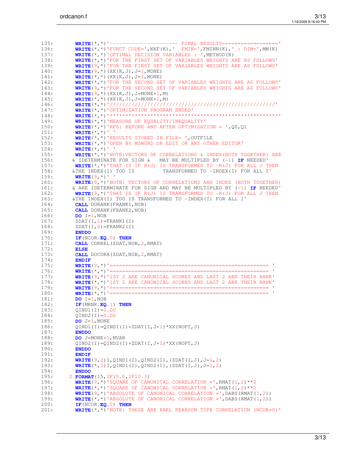| 135:         | <b>WRITE</b> $(*, *)$ '--------------------- FINAL RESULTS===================                      |
|--------------|----------------------------------------------------------------------------------------------------|
| 136:         | <b>WRITE</b> $(*, *)$ 'FUNCT CODE=', KKF(K), ' FMIN=', FMINN(K), ' : DIM=', MM(K)                  |
| 137:         | <b>WRITE</b> $(*$ , $*$ ) 'OPTIMAL DECISION VARIABLES : ', METHOD $(K)$                            |
| 138:         | <b>WRITE</b> (*,*)'FOR THE FIRST SET OF VARIABLES WEIGHTS ARE AS FOLLOWS'                          |
| 139:         | <b>WRITE</b> (9,*)'FOR THE FIRST SET OF VARIABLES WEIGHTS ARE AS FOLLOWS'                          |
| 140:         | <b>WRITE</b> $(9, *)(XX(K, J), J=1, MOME)$                                                         |
| 141:         | WRITE $(*, *)$ $(XX(K, J), J=1, MOME)$                                                             |
| 142:         | <b>WRITE</b> (*,*) 'FOR THE SECOND SET OF VARIABLES WEIGHTS ARE AS FOLLOWS'                        |
|              |                                                                                                    |
| 143:         | <b>WRITE (9, *) 'FOR THE SECOND SET OF VARIABLES WEIGHTS ARE AS FOLLOWS'</b>                       |
| 144:         | <b>WRITE</b> $(9, *)(XX(K, J), J=MONE+1, M)$                                                       |
| 145:         | <b>WRITE</b> $(*$ , $*)$ $(XX(K, J)$ , J=MONE+1, M)                                                |
| 146:         |                                                                                                    |
| 147:         | <b>WRITE</b> (*,*) 'OPTIMIZATION PROGRAM ENDED'                                                    |
| 148:         |                                                                                                    |
| 149:         | <b>WRITE</b> (*,*) 'MEASURE OF EQUALITY/INEQUALITY'                                                |
| 150:         | <b>WRITE</b> $(*$ , *) 'RPS: BEFORE AND AFTER OPTIMIZATION = ', Q0, Q1                             |
| 151:         | WRITE $(*, *)$ '                                                                                   |
| 152:         | <b>WRITE</b> $(*$ , $*$ ) 'RESULTS STORED IN FILE= ', OUTFILE                                      |
| 153:         | <b>WRITE</b> (*,*)'OPEN BY MSWORD OR EDIT OR ANY OTHER EDITOR'                                     |
| 154:         | <b>WRITE</b> $(*, *)$ ' '                                                                          |
| 155:         | <b>WRITE</b> (*,*) 'NOTE: VECTORS OF CORRELATIONS & INDEX (BOTH TOGETHER) ARE                      |
| 156:         | & IDETERMINATE FOR SIGN & MAY BE MULTIPLED BY $(-1)$ IF NEEDED'                                    |
| 157:         | <b>WRITE</b> $(*,*)$ 'THAT IS IF R(J) IS TRANSFORMED TO $-R(J)$ FOR ALL J THEN                     |
| 158:         | TRANSFORMED TO -INDEX(I) FOR ALL I'<br>& THE INDEX (I) TOO IS                                      |
| 159:         | <b>WRITE</b> $(9, *)^{1}$                                                                          |
| 160:         | <b>WRITE</b> (9,*)'NOTE: VECTORS OF CORRELATIONS AND INDEX (BOTH TOGETHER)                         |
|              | & ARE IDETERMINATE FOR SIGN AND MAY BE MULTIPLED BY $(-1)$ IF NEEDED'                              |
| 161:         |                                                                                                    |
| 162:         | <b>WRITE</b> (9,*)'THAT IS IF R(J) IS TRANSFORMED TO $-R(J)$ FOR ALL J THEN                        |
| 163:         | & THE INDEX(I) TOO IS TRANSFORMED TO -INDEX(I) FOR ALL I'                                          |
| 164:         | <b>CALL</b> DORANK (FRANK1, NOB)                                                                   |
| 165:         | <b>CALL</b> DORANK (FRANK2, NOB)                                                                   |
| 166:         | $DO I=1, NOB$                                                                                      |
| 167:         | $ZDAT(I, 1) = FRANK1(I)$                                                                           |
| 168:         | $ZDAT$ (I, 2) = FRANK2(I)                                                                          |
| 169:         | <b>ENDDO</b>                                                                                       |
| 170:         | $IF(NCOR.EQ.0)$ THEN                                                                               |
| 171:         | CALL CORREL (ZDAT, NOB, 2, RMAT)                                                                   |
| 172:         | <b>ELSE</b>                                                                                        |
| 173:         | CALL DOCORA (ZDAT, NOB, 2, RMAT)                                                                   |
| 174:         | <b>ENDIF</b>                                                                                       |
| 175:         |                                                                                                    |
| 176:         |                                                                                                    |
| 177:         | <b>WRITE</b> (9,*)'1ST 2 ARE CANONICAL SCORES AND LAST 2 ARE THEIR RANK'                           |
| 178:         | <b>WRITE</b> (*,*)'1ST 2 ARE CANONICAL SCORES AND LAST 2 ARE THEIR RANK'                           |
| 179:         |                                                                                                    |
| 180:         |                                                                                                    |
| 181:         | $DO I=1, NOB$                                                                                      |
| 182:         | $IF$ (MRNK.EQ.1) THEN                                                                              |
| 183:         | $OIND1(I)=0.D0$                                                                                    |
| 184:         | $QIND2(I)=0.DD$                                                                                    |
|              |                                                                                                    |
| 185:         | $DO$ $J=1$ , MONE                                                                                  |
| 186:         | $QIND1 (I) = QIND1 (I) + ZDAT (I, J+1) * XX (NOPT, J)$                                             |
| 187:         | <b>ENDDO</b>                                                                                       |
| 188:         | $DO$ $J=MONE+1$ , MVAR                                                                             |
| 189:         | $QIND2(I) = QIND2(I) + ZDAT(I, J+1) * XX(NOPT, J)$                                                 |
| 190:         | <b>ENDDO</b>                                                                                       |
| 191:         | <b>ENDIF</b>                                                                                       |
| 192:         | <b>WRITE</b> (9,2) I, QIND1(I), QIND2(I), (ZDAT(I, J), J=1, 2)                                     |
| 193:         | <b>WRITE</b> $(*$ , 2) I, QIND1(I), QIND2(I), (ZDAT(I, J), J=1, 2)                                 |
| 194:         | <b>ENDDO</b>                                                                                       |
| 195:         | 2 FORMAT (15, 2F15.6, 2F10.3)                                                                      |
| 196:         | <b>WRITE</b> (9, *) 'SQUARE OF CANONICAL CORRELATION =', RMAT(1, 2) ** 2                           |
| 197:         |                                                                                                    |
| 198:         | <b>WRITE</b> $(*, *)$ 'SQUARE OF CANONICAL CORRELATION =', RMAT $(1, 2)$ **2                       |
|              | <b>WRITE</b> $(9,*)$ 'ABSOLUTE OF CANONICAL CORRELATION =', DABS (RMAT $(1,2)$ )                   |
| 199:         |                                                                                                    |
|              | <b>WRITE</b> $(*$ , *) 'ABSOLUTE OF CANONICAL CORRELATION =', DABS (RMAT $(1, 2)$ )                |
| 200:<br>201: | $IF(NCOR.EQ.0)$ THEN<br><b>WRITE</b> (*,*)'NOTE: THESE ARE KARL PEARSON TYPE CORRELATION (NCOR=0)' |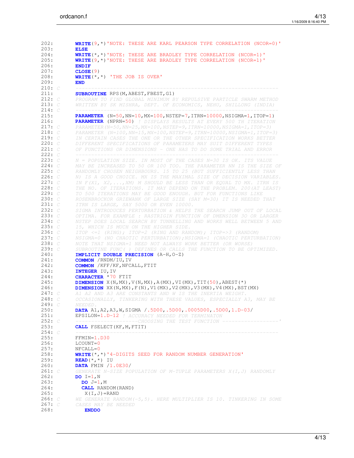| 202:             | <b>WRITE (9, *) '</b> NOTE: THESE ARE KARL PEARSON TYPE CORRELATION (NCOR=0)'                                                              |
|------------------|--------------------------------------------------------------------------------------------------------------------------------------------|
| 203:<br>204:     | <b>ELSE</b><br><b>WRITE</b> $(*,*)$ 'NOTE: THESE ARE BRADLEY TYPE CORRELATION (NCOR=1)'                                                    |
| 205:             | <b>WRITE</b> $(9,*)$ 'NOTE: THESE ARE BRADLEY TYPE CORRELATION (NCOR=1)'                                                                   |
| 206:             | <b>ENDIF</b>                                                                                                                               |
| 207:<br>208:     | CLOSE(9)<br>$WRITE$ (*,*) 'THE JOB IS OVER'                                                                                                |
| 209:             | <b>END</b>                                                                                                                                 |
| 210: C           |                                                                                                                                            |
| 211:             | <b>SUBROUTINE</b> RPS (M, ABEST, FBEST, G1)                                                                                                |
| 212: C<br>213: C | PROGRAM TO FIND GLOBAL MINIMUM BY REPULSIVE PARTICLE SWARM METHOD<br>WRITTEN BY SK MISHRA, DEPT. OF ECONOMICS, NEHU, SHILLONG (INDIA)      |
| 214: C           |                                                                                                                                            |
| 215:             | <b>PARAMETER</b> $(N=50, NN=10, MX=100, NSTEP=7, ITRN=10000, NSIGMA=1, ITOP=1)$                                                            |
| 216:<br>217: C   | PARAMETER (NPRN=50) ! DISPLAYS RESULTS AT EVERY 500 TH ITERATION<br>PARAMETER (N=50, NN=25, MX=100, NSTEP=9, ITRN=10000, NSIGMA=1, ITOP=3) |
| 218: C           | PARAMETER $(N=100, NN=15, MX=100, NSTEP=9,ITRN=10000, NSIGMA=1,ITOP=3)$                                                                    |
| 219: C           | IN CERTAIN CASES THE ONE OR THE OTHER SPECIFICATION WORKS BETTER                                                                           |
| 220: C           | DIFFERENT SPECIFICATIONS OF PARAMETERS MAY SUIT DIFFERENT TYPES                                                                            |
| 221: C<br>222: C | OF FUNCTIONS OR DIMENSIONS - ONE HAS TO DO SOME TRIAL AND ERROR                                                                            |
| 223: C           | N = POPULATION SIZE. IN MOST OF THE CASES N=30 IS OK. ITS VALUE                                                                            |
| 224: C           | MAY BE INCREASED TO 50 OR 100 TOO. THE PARAMETER NN IS THE SIZE OF                                                                         |
| 225: C           | RANDOMLY CHOSEN NEIGHBOURS. 15 TO 25 (BUT SUFFICIENTLY LESS THAN                                                                           |
| 226: C<br>227: C | N) IS A GOOD CHOICE. MX IS THE MAXIMAL SIZE OF DECISION VARIABLES.<br>IN F(X1, X2, , XM) M SHOULD BE LESS THAN OR EQUAL TO MX. ITRN IS     |
| 228: C           | THE NO. OF ITERATIONS. IT MAY DEPEND ON THE PROBLEM. 200 (AT LEAST)                                                                        |
| 229: C           | TO 500 ITERATIONS MAY BE GOOD ENOUGH. BUT FOR FUNCTIONS LIKE                                                                               |
| 230: C           | ROSENBROCKOR GRIEWANK OF LARGE SIZE (SAY M=30) IT IS NEEDED THAT                                                                           |
| 231: C<br>232: C | ITRN IS LARGE. SAY 5000 OR EVEN 10000.<br>SIGMA INTRODUCES PERTURBATION & HELPS THE SEARCH JUMP OUT OF LOCAL                               |
| 233: C           | OPTIMA. FOR EXAMPLE : RASTRIGIN FUNCTION OF DMENSION 30 OR LARGER                                                                          |
| 234: C           | NSTEP DOES LOCAL SEARCH BY TUNNELLING AND WORKS WELL BETWEEN 5 AND                                                                         |
| 235: C           | 15, WHICH IS MUCH ON THE HIGHER SIDE.                                                                                                      |
| 236: C           | ITOP <=1 (RING); ITOP=2 (RING AND RANDOM); ITOP=>3 (RANDOM)                                                                                |
| 237: C<br>238: C | NSIGMA=0 (NO CHAOTIC PERTURBATION); NSIGMA=1 (CHAOTIC PERTURBATION)<br>NOTE THAT NSIGMA=1 NEED NOT ALWAYS WORK BETTER (OR WORSE)           |
| 239: C           | SUBROUTINE FUNC () DEFINES OR CALLS THE FUNCTION TO BE OPTIMIZED.                                                                          |
| 240:             | IMPLICIT DOUBLE PRECISION (A-H, O-Z)                                                                                                       |
| 241:             | <b>COMMON</b> / RNDM/IU, IV                                                                                                                |
| 242:<br>243:     | <b>COMMON</b> / KFF/KF, NFCALL, FTIT<br>INTEGER IU, IV                                                                                     |
| 244:             | <b>CHARACTER *70 FTIT</b>                                                                                                                  |
| 245:             | <b>DIMENSION</b> $X(N, MX)$ , $V(N,MX)$ , $A(MX)$ , $VI(MX)$ , $TIT(50)$ , $ABEST(*)$                                                      |
| 246:             | <b>DIMENSION</b> XX(N, MX), $F(N)$ , V1(MX), V2(MX), V3(MX), V4(MX), BST(MX)                                                               |
| 247: C<br>248: C | A1 A2 AND A3 ARE CONSTANTS AND W IS THE INERTIA WEIGHT.<br>OCCASIONALLY, TINKERING WITH THESE VALUES, ESPECIALLY A3, MAY BE                |
| 249: C           | NEEDED.                                                                                                                                    |
| 250:             | DATA A1, A2, A3, W, SIGMA /.5D00, .5D00, .0005D00, .5D00, 1.D-03/                                                                          |
| 251:             | EPSILON=1.D-12 / ACCURACY NEEDED FOR TERMINATON<br>--CHOOSING THE TEST FUNCTION ------------------<br>____________                         |
| 252: C<br>253:   | CALL FSELECT (KF, M, FTIT)                                                                                                                 |
| 254: C           |                                                                                                                                            |
| 255:             | FFMIN=1.D30                                                                                                                                |
| 256:             | LCOUNT=0                                                                                                                                   |
| 257:<br>258:     | NFCALL=0<br><b>WRITE</b> (*,*)'4-DIGITS SEED FOR RANDOM NUMBER GENERATION'                                                                 |
| 259:             | <b>READ</b> $(* , * )$ IU                                                                                                                  |
| 260:             | DATA FMIN $/1.0E30/$                                                                                                                       |
| 261: C           | GENERATE N-SIZE POPULATION OF M-TUPLE PARAMETERS X(I, J) RANDOMLY                                                                          |
| 262:<br>263:     | $DO I=1, N$<br>DO J=1,M                                                                                                                    |
| 264:             | <b>CALL</b> RANDOM (RAND)                                                                                                                  |
| 265:             | $X(I,J) =$ RAND                                                                                                                            |
| $266:$ $\subset$ | WE GENERATE RANDOM(-5,5). HERE MULTIPLIER IS 10. TINKERING IN SOME                                                                         |
| 267: C<br>268:   | CASES MAY BE NEEDED                                                                                                                        |
|                  | <b>ENDDO</b>                                                                                                                               |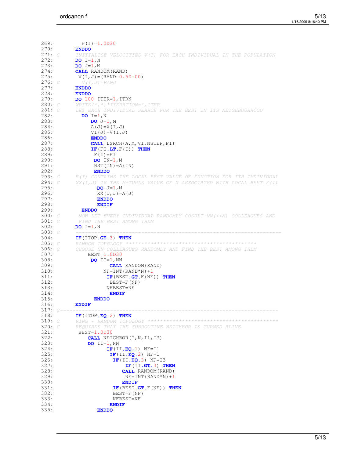| 269:         |     | $F(I)=1.0D30$                                                                        |
|--------------|-----|--------------------------------------------------------------------------------------|
| 270:         |     | <b>ENDDO</b>                                                                         |
| 271: C       |     | INITIALISE VELOCITIES V(I) FOR EACH INDIVIDUAL IN THE POPULATION                     |
| 272:         |     | $DO I=1, N$                                                                          |
| 273:         |     | $DO$ $J=1,M$                                                                         |
| 274:         |     | <b>CALL</b> RANDOM (RAND)                                                            |
| 275:         |     | $V(I, J) = (RAND-0.5D+00)$                                                           |
| 276: C       |     | $V(I, J) =$ RAND                                                                     |
| 277:         |     | <b>ENDDO</b>                                                                         |
| 278:         |     | <b>ENDDO</b>                                                                         |
| 279:         |     | DO 100 ITER=1, ITRN                                                                  |
| 280: C       |     | WRITE $(*, *)$ 'ITERATION=', ITER                                                    |
| 281: C       |     |                                                                                      |
|              |     | LET EACH INDIVIDUAL SEARCH FOR THE BEST IN ITS NEIGHBOURHOOD                         |
| 282:         |     | $DO I=1, N$                                                                          |
| 283:         |     | $DO J=1, M$                                                                          |
| 284:         |     | $A(J) = X(I, J)$                                                                     |
| 285:         |     | $VI(J) = V(I,J)$                                                                     |
| 286:         |     | <b>ENDDO</b>                                                                         |
| 287:         |     | CALL LSRCH(A, M, VI, NSTEP, FI)                                                      |
| 288:         |     | $IF(FI, LT.F(I))$ THEN                                                               |
| 289:         |     | $F(I) = FI$                                                                          |
| 290:         |     | $DO IN=1, M$                                                                         |
| 291:         |     | $BST$ (IN) = A(IN)                                                                   |
| 292:         |     | <b>ENDDO</b>                                                                         |
| 293:         | C   | F(I) CONTAINS THE LOCAL BEST VALUE OF FUNCTION FOR ITH INDIVIDUAL                    |
| 294: C       |     | $XX(I,J)$ is the M-TUPLE VALUE OF X ASSOCIATED WITH LOCAL BEST $F(I)$                |
| 295:         |     | $DO$ $J=1$ , M                                                                       |
| 296:         |     | $XX(I,J) = A(J)$                                                                     |
| 297:         |     | <b>ENDDO</b>                                                                         |
| 298:         |     | <b>ENDIF</b>                                                                         |
| 299:         |     | <b>ENDDO</b>                                                                         |
| 300:         | - C | NOW LET EVERY INDIVIDUAL RANDOMLY COSULT NN (< <n) and<="" colleagues="" th=""></n)> |
| 301: $C$     |     | FIND THE BEST AMONG THEM                                                             |
| 302:         |     | $DO I=1, N$                                                                          |
| 303: $C$     |     |                                                                                      |
| 304:         |     |                                                                                      |
|              |     | $IF$ (ITOP. $GE.3$ ) THEN                                                            |
| 305: C       |     |                                                                                      |
| 306: $C$     |     | CHOOSE NN COLLEAGUES RANDOMLY AND FIND THE BEST AMONG THEM                           |
| 307:         |     | $BEST=1.0D30$                                                                        |
| 308:         |     | $DO$ $II=1$ , NN                                                                     |
| 309:         |     | <b>CALL</b> RANDOM(RAND)                                                             |
| 310:         |     | $NF=INT (RAND*N)+1$                                                                  |
| 311:         |     | $IF$ (BEST. $GT$ . F (NF)) THEN                                                      |
| 312:         |     | BEST=F(NF)                                                                           |
| 313:         |     | NFBEST=NF                                                                            |
| 314:         |     | <b>ENDIF</b>                                                                         |
| 315:         |     | <b>ENDDO</b>                                                                         |
| 316:         |     | <b>ENDIF</b>                                                                         |
| $317: C -$   |     |                                                                                      |
| 318:         |     | $IF$ (ITOP.EQ.2) THEN                                                                |
| 319: C       |     |                                                                                      |
| 320: C       |     | REOUIRES THAT THE SUBROUTINE NEIGHBOR IS TURNED ALIVE                                |
| 321:         |     | BEST=1.0D30                                                                          |
| 322:         |     | <b>CALL</b> NEIGHBOR $(I, N, I1, I3)$                                                |
| 323:         |     | $DO$ II=1, NN                                                                        |
| 324:         |     | $IF$ (II.EQ.1) NF=I1                                                                 |
| 325:         |     | $IF(II.EQ.2) NF=I$                                                                   |
| 326:         |     | $IF (II.EQ.3) NF=I3$                                                                 |
| 327:         |     | $IF$ (II.GT.3) THEN                                                                  |
| 328:         |     | <b>CALL</b> RANDOM (RAND)                                                            |
| 329:         |     | $NF=INT (RAND*N)+1$                                                                  |
| 330:         |     | <b>ENDIF</b>                                                                         |
| 331:         |     | $IF$ (BEST.GT.F(NF)) THEN                                                            |
|              |     |                                                                                      |
| 332:         |     | BEST=F(NF)                                                                           |
| 333:         |     | NFBEST=NF                                                                            |
|              |     |                                                                                      |
| 334:<br>335: |     | <b>ENDIF</b><br><b>ENDDO</b>                                                         |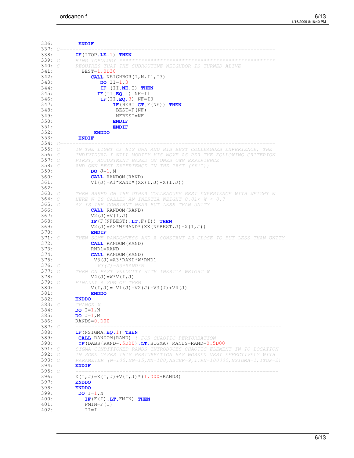336: **ENDIF** 337: *C---------------------------------------------------------------------* 338: **IF**(ITOP**.LE.**1) **THEN** 339: *C RING TOPOLOGY \*\*\*\*\*\*\*\*\*\*\*\*\*\*\*\*\*\*\*\*\*\*\*\*\*\*\*\*\*\*\*\*\*\*\*\*\*\*\*\*\*\*\*\*\*\*\*\*\*\** 340: *C REQUIRES THAT THE SUBROUTINE NEIGHBOR IS TURNED ALIVE* 341: BEST=1.0D30 342: **CALL** NEIGHBOR(I, N, I1, I3) 343: **DO** II=1,3 344: **IF** (II**.NE.**I) **THEN** 345: **IF**(II.**EQ**.1) NF=I1<br>346: **IF**(II.**EQ**.3) NF=I 346: **IF**(II**.EQ.**3) NF=I3 347: **IF**(BEST**.GT.**F(NF)) **THEN** 348: BEST=F(NF) 349: NFBEST=NF<br>350: **ENDIF** 350: **ENDIF** 351: **ENDIF** 352: **ENDDO** 353: **ENDIF** 354: *C---------------------------------------------------------------------* 355: *C IN THE LIGHT OF HIS OWN AND HIS BEST COLLEAGUES EXPERIENCE, THE* 356: *C INDIVIDUAL I WILL MODIFY HIS MOVE AS PER THE FOLLOWING CRITERION* 357: *C FIRST, ADJUSTMENT BASED ON ONES OWN EXPERIENCE* 358: *C AND OWN BEST EXPERIENCE IN THE PAST (XX(I))*  $D^o$  J=1, M 360: **CALL** RANDOM(RAND)<br>361:  $V1 (J) = A1 * RAND * (XX)$ V1(J)=A1\*RAND\*(XX(I,J)-X(I,J)) 362: 363: *C THEN BASED ON THE OTHER COLLEAGUES BEST EXPERIENCE WITH WEIGHT W* 364: *C HERE W IS CALLED AN INERTIA WEIGHT 0.01< W < 0.7* 365: *C A2 IS THE CONSTANT NEAR BUT LESS THAN UNITY* 366: **CALL** RANDOM(RAND)<br>367:  $V2 (J) = V (I, J)$ V2 $(J)$ =V $(I,J)$ 368: **IF**(F(NFBEST)**.LT.**F(I)) **THEN**  $369: V2(J) = A2*W*RAND* (XX(NFBEST, J) - X(I, J))$ 370: **ENDIF**<br>371: *C* THEN SOME 371: *C THEN SOME RANDOMNESS AND A CONSTANT A3 CLOSE TO BUT LESS THAN UNITY* 372: **CALL** RANDOM(RAND) 373: RND1=RAND 374: **CALL** RANDOM(RAND)<br>375:  $V3(J) = A3 * RAND * W *$ 375:  $V3(J) = A3*RAND*W*RND1$ <br>376: C<br> $V3(J) = A3*RAND*W$ 376: *C V3(J)=A3\*RAND\*W* 377: *C THEN ON PAST VELOCITY WITH INERTIA WEIGHT W* V4 $(J)$  =W\*V $(I, J)$ 379: *C FINALLY A SUM OF THEM*  $V(I,J) = V1(J) + V2(J) + V3(J) + V4(J)$ 381: **ENDDO** 382: **ENDDO** 383: *C CHANGE X* 384: **DO** I=1, N<br>385: **DO** J=1, M 385: **DO** J=1,M RANDS=0.D00 387: *C ------------------------------------------------------------------* 388: **IF**(NSIGMA**.EQ.**1) **THEN** 389: **CALL** RANDOM(RAND) *! FOR CHAOTIC PERTURBATION* 390: **IF**(DABS(RAND-.5D00)**.LT.**SIGMA) RANDS=RAND-0.5D00 391: *C SIGMA CONDITIONED RANDS INTRODUCES CHAOTIC ELEMENT IN TO LOCATION* 392: *C IN SOME CASES THIS PERTURBATION HAS WORKED VERY EFFECTIVELY WITH* 393: *C PARAMETER (N=100,NN=15,MX=100,NSTEP=9,ITRN=100000,NSIGMA=1,ITOP=2)* 394: **ENDIF** 395: *C -----------------------------------------------------------------* 396:  $X(I,J)=X(I,J)+V(I,J)*(1.D00+RANDS)$ <br>397: **ENDDO** 397: **ENDDO** 398: **ENDDO** 399: **DO** I=1, N<br>400: **IF** (F(I 400: **IF**(F(I)**.LT.**FMIN) **THEN**  $FMIN=F(I)$ 402: II=I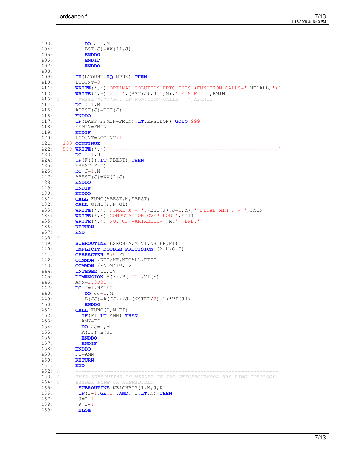| 403:           |  | $DO$ $J=1$ , M                                                                                                |
|----------------|--|---------------------------------------------------------------------------------------------------------------|
| 404:           |  | $BST(J)=XX(II,J)$                                                                                             |
| 405:           |  | <b>ENDDO</b>                                                                                                  |
| 406:           |  | <b>ENDIF</b>                                                                                                  |
| 407:<br>408:   |  | <b>ENDDO</b>                                                                                                  |
| 409:           |  | IF (LCOUNT.EO.NPRN) THEN                                                                                      |
| 410:           |  | LCOUNT=0                                                                                                      |
| 411:           |  | <b>WRITE</b> (*,*)'OPTIMAL SOLUTION UPTO THIS (FUNCTION CALLS=',NFCALL,')'                                    |
| 412:           |  | <b>WRITE</b> $(*$ , *) 'X = ', (BST(J), J=1, M), ' MIN F = ', FMIN                                            |
| 413: C         |  | WRITE $(*, *)$ 'NO. OF FUNCTION CALLS = ', NFCALL                                                             |
| 414:           |  | $DO$ $J=1$ , M                                                                                                |
| 415:           |  | $ABEST(J)=BST(J)$                                                                                             |
| 416:           |  | <b>ENDDO</b>                                                                                                  |
| 417:           |  | IF (DABS (FFMIN-FMIN). LT. EPSILON) GOTO 999                                                                  |
| 418:           |  | FFMIN-FMIN                                                                                                    |
| 419:           |  | <b>ENDIF</b>                                                                                                  |
| 420:<br>421:   |  | LCOUNT=LCOUNT+1<br>100 CONTINUE                                                                               |
| 422:           |  | 999 WRITE $(*, *)$ '-------------------------------                                                           |
| 423:           |  | $DO I=1, N$                                                                                                   |
| 424:           |  | IF (F(I) . LT. FBEST) THEN                                                                                    |
| 425:           |  | $FBEST=F(I)$                                                                                                  |
| 426:           |  | $DO J=1, M$                                                                                                   |
| 427:           |  | ABEST $(J)$ =XX $(I, J)$                                                                                      |
| 428:           |  | <b>ENDDO</b>                                                                                                  |
| 429:           |  | <b>ENDIF</b>                                                                                                  |
| 430:           |  | <b>ENDDO</b>                                                                                                  |
| 431:<br>432:   |  | <b>CALL</b> FUNC (ABEST, M, FBEST)                                                                            |
| 433:           |  | <b>CALL</b> $GINI(F, N, G1)$<br><b>WRITE</b> $(*, *)$ 'FINAL X = ', (BST(J), J=1, M), ' FINAL MIN F = ', FMIN |
| 434:           |  | WRITE (*,*) 'COMPUTATION OVER: FOR ', FTIT                                                                    |
| 435:           |  | WRITE $(*$ , $*)$ 'NO. OF VARIABLES=', M, ' END.'                                                             |
| 436:           |  | <b>RETURN</b>                                                                                                 |
| 437:           |  | <b>END</b>                                                                                                    |
| 438: C         |  |                                                                                                               |
| 439:           |  | <b>SUBROUTINE</b> LSRCH(A, M, VI, NSTEP, FI)                                                                  |
| 440:           |  | IMPLICIT DOUBLE PRECISION (A-H, O-Z)                                                                          |
| 441:           |  | <b>CHARACTER *70 FTIT</b>                                                                                     |
| 442:<br>443:   |  | <b>COMMON</b> / KFF/KF, NFCALL, FTIT<br><b>COMMON</b> / RNDM/IU, IV                                           |
| 444:           |  | INTEGER IU, IV                                                                                                |
| 445:           |  | <b>DIMENSION</b> $A(*)$ , $B(100)$ , $VI(*)$                                                                  |
| 446:           |  | AMN=1.0D30                                                                                                    |
| 447:           |  | $DO$ $J=1$ , $NSTER$                                                                                          |
| 448:           |  | $DO$ $JJ=1$ , M                                                                                               |
| 449:           |  | $B(JJ) = A(JJ) + (J - (NSTEP/2) - 1) * VI (JJ)$                                                               |
| 450:           |  | <b>ENDDO</b>                                                                                                  |
| 451:<br>452:   |  | <b>CALL</b> FUNC $(B, M, FI)$<br>IF (FI.LT.AMN) THEN                                                          |
| 453:           |  | AMN=FI                                                                                                        |
| 454:           |  | $DO$ $JJ=1$ , M                                                                                               |
| 455:           |  | $A(JJ) = B(JJ)$                                                                                               |
| 456:           |  | <b>ENDDO</b>                                                                                                  |
| 457:           |  | <b>ENDIF</b>                                                                                                  |
| 458:           |  | <b>ENDDO</b>                                                                                                  |
| 459:           |  | $F I = AMN$                                                                                                   |
| 460:           |  | <b>RETURN</b>                                                                                                 |
| 461:<br>462: C |  | <b>END</b>                                                                                                    |
| 463: C         |  | THIS SUBROUTINE IS NEEDED IF THE NEIGHBOURHOOD HAS RING TOPOLOGY                                              |
| 464: C         |  | EITHER PURE OR HYBRIDIZED                                                                                     |
| 465:           |  | <b>SUBROUTINE</b> NEIGHBOR(I, N, J, K)                                                                        |
| 466:           |  | IF $(I-1, GE, 1$ . AND. I.LT. N) THEN                                                                         |
| 467:           |  | $J = I - 1$                                                                                                   |
| 468:           |  | $K = I + 1$                                                                                                   |
| 469:           |  | <b>ELSE</b>                                                                                                   |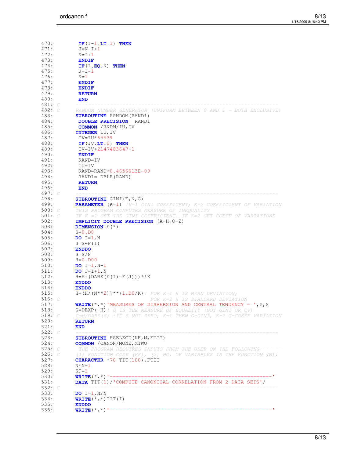| 470:     | $IF(I-1, LT, 1)$ THEN                                                        |
|----------|------------------------------------------------------------------------------|
| 471:     | $J=N-I+1$                                                                    |
| 472:     | $K = I + 1$                                                                  |
| 473:     | <b>ENDIF</b>                                                                 |
| 474:     | $IF(I.EQ.N)$ THEN                                                            |
| 475:     | $J = I - 1$                                                                  |
| 476:     | $K = 1$                                                                      |
| 477:     | <b>ENDIF</b>                                                                 |
| 478:     | <b>ENDIF</b>                                                                 |
| 479:     | <b>RETURN</b>                                                                |
| 480:     | <b>END</b>                                                                   |
| 481: C   |                                                                              |
| 482: C   | RANDOM NUMBER GENERATOR (UNIFORM BETWEEN 0 AND 1 - BOTH EXCLUSIVE)           |
| 483:     | <b>SUBROUTINE</b> RANDOM (RAND1)                                             |
| 484:     | <b>DOUBLE PRECISION</b> RAND1                                                |
| 485:     | <b>COMMON</b> / RNDM/IU, IV                                                  |
| 486:     | INTEGER IU, IV                                                               |
| 487:     | $IV = IU * 65539$                                                            |
| 488:     | $IF$ (IV.LT.0) THEN                                                          |
| 489:     | IV=IV+2147483647+1                                                           |
| 490:     | <b>ENDIF</b>                                                                 |
| 491:     | RAND=IV                                                                      |
| 492:     | $IU=IV$                                                                      |
| 493:     | RAND=RAND*0.4656613E-09                                                      |
| 494:     | RAND1= DBLE(RAND)                                                            |
| 495:     | <b>RETURN</b>                                                                |
| 496:     | <b>END</b>                                                                   |
| 497: $C$ |                                                                              |
| 498:     | <b>SUBROUTINE</b> GINI (F, N, G)                                             |
| 499:     | PARAMETER (K=1) !K=1 GINI COEFFICENT; K=2 COEFFICIENT OF VARIATION           |
| 500: $C$ | THIS PROGRAM COMPUTES MEASURE OF INEQUALITY                                  |
| 501: $C$ | IF K =1 GET THE GINI COEFFICIENT. IF K=2 GET COEFF OF VARIATIONE             |
| 502:     | IMPLICIT DOUBLE PRECISION (A-H, O-Z)                                         |
| 503:     | <b>DIMENSION</b> $F$ (*)                                                     |
| 504:     | $S=0.$ DO                                                                    |
| 505:     | $DO I=1, N$                                                                  |
| 506:     | $S=S+F(I)$                                                                   |
| 507:     | <b>ENDDO</b>                                                                 |
| 508:     | $S = S/N$                                                                    |
| 509:     | $H=0.DD00$                                                                   |
| 510:     | <b>DO</b> $I=1, N-1$                                                         |
| 511:     | DO $J=I+1$ , N                                                               |
| 512:     | $H=H+ (DABS (F (I) -F (J)))**K$                                              |
| 513:     | <b>ENDDO</b>                                                                 |
| 514:     | <b>ENDDO</b>                                                                 |
| 515:     | $H=(H/(N**2))**(1.D0/K)$ ! FOR K=1 H IS MEAN DEVIATION;                      |
| 516: $C$ | FOR K=2 H IS STANDARD DEVIATION                                              |
| 517:     | <b>WRITE</b> $(*, *)$ 'MEASURES OF DISPERSION AND CENTRAL TENDENCY = ', G, S |
| 518:     | G=DEXP(-H)! G IS THE MEASURE OF EQUALITY (NOT GINI OR CV)                    |
| 519: $C$ | $G=H/DABS(S)$ !IF S NOT ZERO, K=1 THEN $G=GINI$ , K=2 $G=COEFF$ VARIATION    |
| 520:     | <b>RETURN</b>                                                                |
| 521:     | <b>END</b>                                                                   |
| 522: $C$ |                                                                              |
| 523:     | <b>SUBROUTINE FSELECT (KF, M, FTIT)</b>                                      |
| 524:     | <b>COMMON</b> / CANON/MONE, MTWO                                             |
| 525: $C$ | THE PROGRAM REQUIRES INPUTS FROM THE USER ON THE FOLLOWING ------            |
| 526: C   | (1) FUNCTION CODE (KF), (2) NO. OF VARIABLES IN THE FUNCTION (M);            |
| 527:     | CHARACTER *70 TIT(100), FTIT                                                 |
| 528:     | $NFN=1$                                                                      |
| 529:     | $KF = 1$                                                                     |
| 530:     |                                                                              |
| 531:     | <b>DATA</b> TIT(1)/'COMPUTE CANONICAL CORRELATION FROM 2 DATA SETS'/         |
| 532: $C$ |                                                                              |
| 533:     | $DO$ I=1, NFN                                                                |
| 534:     | <b>WRITE</b> $(* , * )$ TIT $(I)$                                            |
| 535:     | <b>ENDDO</b>                                                                 |
| 536:     |                                                                              |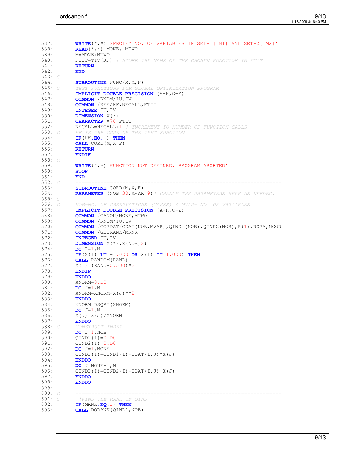| 537:              | <b>WRITE</b> $(*$ , *) 'SPECIFY NO. OF VARIABLES IN SET-1 [=M1] AND SET-2 [=M2] ' |
|-------------------|-----------------------------------------------------------------------------------|
| 538:              | $READ$ (*,*) MONE, MTWO                                                           |
| 539:<br>540:      | M=MONE+MTWO<br>FTIT=TIT(KF) ! STORE THE NAME OF THE CHOSEN FUNCTION IN FTIT       |
| 541:              | <b>RETURN</b>                                                                     |
| 542:              | <b>END</b>                                                                        |
| 543: $C$          |                                                                                   |
| 544:              | <b>SUBROUTINE</b> FUNC (X, M, F)                                                  |
| 545: $C$          | TEST FUNCTIONS FOR GLOBAL OPTIMIZATION PROGRAM                                    |
| 546:              | IMPLICIT DOUBLE PRECISION (A-H, O-Z)                                              |
| 547:              | <b>COMMON</b> / RNDM/IU, IV                                                       |
| 548:              | <b>COMMON</b> / KFF/KF, NFCALL, FTIT                                              |
| 549:              | INTEGER IU, IV                                                                    |
| 550:              | <b>DIMENSION</b> X(*)                                                             |
| 551:              | <b>CHARACTER *70 FTIT</b>                                                         |
| 552:              | NFCALL=NFCALL+1 ! INCREMENT TO NUMBER OF FUNCTION CALLS                           |
| 553: $C$          | KF IS THE CODE OF THE TEST FUNCTION                                               |
| 554:              | $IF(KF.EQ.1)$ THEN                                                                |
| 555:<br>556:      | CALL $CORD(M, X, F)$                                                              |
| 557:              | <b>RETURN</b><br><b>ENDIF</b>                                                     |
| 558: $C$          |                                                                                   |
| 559:              | <b>WRITE</b> (*,*) 'FUNCTION NOT DEFINED. PROGRAM ABORTED'                        |
| 560:              | <b>STOP</b>                                                                       |
| 561:              | <b>END</b>                                                                        |
| 562: $C$          |                                                                                   |
| 563:              | <b>SUBROUTINE</b> CORD $(M, X, F)$                                                |
| 564:              | PARAMETER (NOB=30, MVAR=9)! CHANGE THE PARAMETERS HERE AS NEEDED.                 |
| 565: $C$          |                                                                                   |
| 566: $\subset$    | NOB=NO. OF OBSERVATIONS (CASES) & MVAR= NO. OF VARIABLES                          |
| 567:              | IMPLICIT DOUBLE PRECISION (A-H, O-Z)                                              |
| 568:              | <b>COMMON</b> / CANON/MONE, MTWO                                                  |
| 569:              | <b>COMMON</b> / RNDM/IU, IV                                                       |
| 570:              | <b>COMMON</b> /CORDAT/CDAT(NOB, MVAR), QIND1(NOB), QIND2(NOB), R(1), NORM, NCOR   |
| 571:              | <b>COMMON</b> / GETRANK/MRNK                                                      |
| 572:              | INTEGER IU, IV                                                                    |
| 573:              | <b>DIMENSION</b> $X(*)$ , $Z(NOB, 2)$                                             |
| 574:              | $DO I=1, M$                                                                       |
| 575:<br>576:      | IF $(X(I), LT, -1.0D0, OR, X(I), GT, 1.0D0)$ THEN<br><b>CALL</b> RANDOM (RAND)    |
| 577:              | $X(I) = (RAND-0.5D0)*2$                                                           |
| 578:              | <b>ENDIF</b>                                                                      |
| 579:              | <b>ENDDO</b>                                                                      |
| 580:              | $XNORM=0.DD$                                                                      |
| 581:              | $DO$ $J=1,M$                                                                      |
| 582:              | $XNORM=XNORM+X(J)**2$                                                             |
| 583:              | <b>ENDDO</b>                                                                      |
| 584:              | XNORM=DSQRT(XNORM)                                                                |
| 585:              | $DO J=1, M$                                                                       |
| 586:              | $X(J) = X(J) / XNORM$                                                             |
| 587:              | <b>ENDDO</b>                                                                      |
| 588: C            | CONSTRUCT INDEX                                                                   |
| 589:              | $DO I=1, NOB$                                                                     |
| 590:              | $QIND1(I)=0.D0$                                                                   |
| 591:              | $QIND2(I)=0.DD$                                                                   |
| 592:              | $DO$ $J=1$ , MONE                                                                 |
| 593:              | $QIND1 (I) = QIND1 (I) + CDAT (I, J) *X (J)$                                      |
| 594:              | <b>ENDDO</b>                                                                      |
| 595:              | $DO$ $J=MONE+1$ , M                                                               |
| 596:<br>597:      | $QIND2(I) = QIND2(I) + CDAT(I,J) *X(J)$                                           |
| 598:              | <b>ENDDO</b><br><b>ENDDO</b>                                                      |
| 599:              |                                                                                   |
| 600:<br>- C       |                                                                                   |
| 601:<br>$\subset$ | !FIND THE RANK OF QIND                                                            |
| 602:              | $IF$ (MRNK.EQ.1) THEN                                                             |
| 603:              | <b>CALL</b> DORANK (QIND1, NOB)                                                   |
|                   |                                                                                   |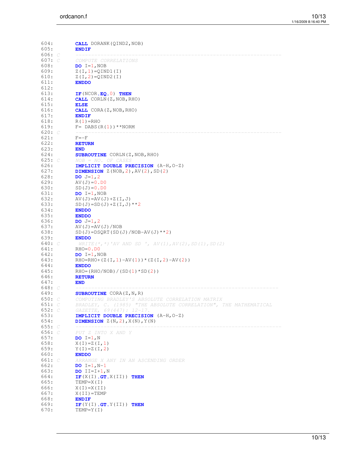| 604:           | <b>CALL</b> DORANK (QIND2, NOB)                                 |
|----------------|-----------------------------------------------------------------|
| 605:           | <b>ENDIF</b>                                                    |
|                |                                                                 |
| 606: C         |                                                                 |
| 607: $\subset$ | COMPUTE CORRELATIONS                                            |
| 608:           | $DO I=1, NOB$                                                   |
| 609:           | $Z(I, 1) = QIND1(I)$                                            |
| 610:           | $Z(I, 2) = QIND2(I)$                                            |
| 611:           | <b>ENDDO</b>                                                    |
| 612:           |                                                                 |
| 613:           |                                                                 |
|                | $IF(NCOR.EQ.0)$ THEN                                            |
| 614:           | <b>CALL</b> CORLN(Z, NOB, RHO)                                  |
| 615:           | <b>ELSE</b>                                                     |
| 616:           | <b>CALL</b> CORA (Z, NOB, RHO)                                  |
| 617:           | <b>ENDIF</b>                                                    |
| 618:           | $R(1) = RHO$                                                    |
| 619:           | $F = DABS(R(1))^**NORM$                                         |
| 620: $C$       |                                                                 |
|                |                                                                 |
| 621:           | $F = -F$                                                        |
| 622:           | <b>RETURN</b>                                                   |
| 623:           | <b>END</b>                                                      |
| 624:           | <b>SUBROUTINE</b> CORLN(Z, NOB, RHO)                            |
| 625: $C$       | $NOB = NO. OF CASES$                                            |
| 626:           | IMPLICIT DOUBLE PRECISION (A-H, O-Z)                            |
|                |                                                                 |
| 627:           | <b>DIMENSION</b> $Z(NOB, 2)$ , $AV(2)$ , $SD(2)$                |
| 628:           | <b>DO</b> $J=1, 2$                                              |
| 629:           | $AV(J) = 0. D0$                                                 |
| 630:           | $SD(J) = 0. D0$                                                 |
| 631:           | $DO I=1, NOB$                                                   |
| 632:           | AV $(J)$ = AV $(J)$ + Z $(I, J)$                                |
| 633:           | $SD(J) = SD(J) + Z (I, J) * * 2$                                |
|                |                                                                 |
| 634:           | <b>ENDDO</b>                                                    |
| 635:           | <b>ENDDO</b>                                                    |
| 636:           | <b>DO</b> $J=1, 2$                                              |
| 637:           | $AV(J) = AV(J) / NOB$                                           |
| 638:           | $SD(J) = DSQRT(SD(J) / NOB-AV(J) * * 2)$                        |
| 639:           | <b>ENDDO</b>                                                    |
|                |                                                                 |
| 640: C         | $WRITE$ (*,*)'AV AND SD ', AV(1), AV(2), SD(1), SD(2)           |
| 641:           | $RHO=0.$ DO                                                     |
| 642:           | $DO I=1, NOB$                                                   |
| 643:           | RHO=RHO+(Z(I, 1)-AV(1)) * (Z(I, 2)-AV(2))                       |
| 644:           | <b>ENDDO</b>                                                    |
| 645:           | $RHO = (RHO/NOB) / (SD(1) * SD(2))$                             |
| 646:           |                                                                 |
|                | <b>RETURN</b>                                                   |
| 647:           | <b>END</b>                                                      |
| 648: $\subset$ |                                                                 |
| 649:           | <b>SUBROUTINE</b> CORA (Z, N, R)                                |
| 650: $C$       | COMPUTING BRADLEY'S ABSOLUTE CORRELATION MATRIX                 |
| 651: C         | BRADLEY, C. (1985) "THE ABSOLUTE CORRELATION", THE MATHEMATICAL |
| 652: $C$       | GAZETTE, 69(447): 12-17.                                        |
|                |                                                                 |
| 653:           | IMPLICIT DOUBLE PRECISION (A-H, O-Z)                            |
| 654:           | <b>DIMENSION</b> $Z(N, 2)$ , $X(N)$ , $Y(N)$                    |
| 655: C         |                                                                 |
| 656: C         | PUT Z INTO X AND Y                                              |
| 657:           | $DO I=1, N$                                                     |
| 658:           | $X(I) = Z(I, 1)$                                                |
| 659:           | $Y(I) = Z(I, 2)$                                                |
|                |                                                                 |
| 660:           | <b>ENDDO</b>                                                    |
| 661: $C$       | ARRANGE X ANY IN AN ASCENDING ORDER                             |
| 662:           | DO $I=1, N-1$                                                   |
| 663:           | DO $II=I+1,N$                                                   |
| 664:           | $IF(X(I).GT.X(II))$ THEN                                        |
| 665:           | $TEMP=X(I)$                                                     |
|                |                                                                 |
| 666:           | $X(I) = X(II)$                                                  |
| 667:           | $X(II) = TEMP$                                                  |
| 668:           | <b>ENDIF</b>                                                    |
| 669:           | IF $(Y(I), GT, Y(II))$ THEN                                     |
| 670:           | $TEMP = Y(I)$                                                   |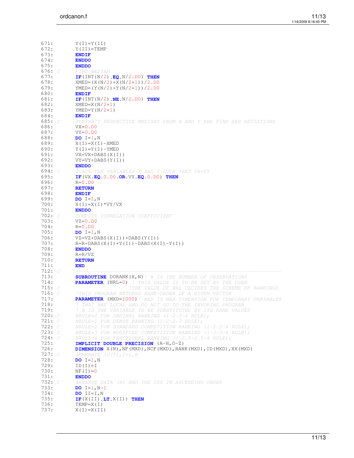| 671:         | $Y(I) = Y(II)$                                                             |
|--------------|----------------------------------------------------------------------------|
| 672:         | $Y(II) = TEMP$                                                             |
| 673:         | <b>ENDIF</b>                                                               |
| 674:         | <b>ENDDO</b>                                                               |
| 675:         | <b>ENDDO</b>                                                               |
| 676: C       | FIND MEDIAN                                                                |
| 677:         | IF $(INT(N/2) .EQ.N/2.D0)$ THEN                                            |
|              |                                                                            |
| 678:         | $XMED=(X(N/2)+X(N/2+1))/2.DD$                                              |
| 679:         | $YMED=(Y(N/2)+Y(N/2+1))/2$ . DO                                            |
| 680:         | <b>ENDIF</b>                                                               |
| 681:         | IF $(INT(N/2)$ . NE. $N/2$ . DO) THEN                                      |
| 682:         | $XMED=X(N/2+1)$                                                            |
| 683:         | $YMED=Y(N/2+1)$                                                            |
| 684:         | <b>ENDIF</b>                                                               |
| 685: $C$     | SUBTRACT RESPECTIVE MEDIANS FROM X AND Y AND FIND ABS DEVIATIONS           |
| 686:         | $VX=0.D0$                                                                  |
| 687:         | $VY=0.D0$                                                                  |
| 688:         | $DO I=1, N$                                                                |
| 689:         | $X(I) = X(I) - XMED$                                                       |
| 690:         | $Y(I) = Y(I) - YMED$                                                       |
| 691:         | $VX=VX+DABS(X(I))$                                                         |
|              |                                                                            |
| 692:         | $VY=VY+DABS(Y(I))$                                                         |
| 693:         | <b>ENDDO</b>                                                               |
| 694: C       | SCALE THE VARIABLES X AND Y SUCH THAT VX=VY                                |
| 695:         | IF $(VX.EQ. 0.D0.OR.VY.EQ. 0.D0)$ THEN                                     |
| 696:         | $R=0.$ DO                                                                  |
| 697:         | <b>RETURN</b>                                                              |
| 698:         | <b>ENDIF</b>                                                               |
| 699:         | $DO I=1, N$                                                                |
| 700:         | $X(I) = X(I) * VY/VX$                                                      |
| 701:         | <b>ENDDO</b>                                                               |
| 702: C       | COMPUTE CORRELATION COEFFICIENT                                            |
| 703:         |                                                                            |
|              |                                                                            |
|              | $VZ=0.DD$                                                                  |
| 704:         | $R=0.$ DO                                                                  |
| 705:         | $DO I=1, N$                                                                |
| 706:         | $VZ=VZ+DABS(X(I))+DABS(Y(I))$                                              |
| 707:         | $R=R+DABS(X(I)+Y(I))$ -DABS $(X(I)-Y(I))$                                  |
| 708:         | <b>ENDDO</b>                                                               |
| 709:         | $R=R/VZ$                                                                   |
| 710:         | <b>RETURN</b>                                                              |
| 711:         | <b>END</b>                                                                 |
| 712: C       |                                                                            |
| 713:         | <b>SUBROUTINE DORANK(X,N)!</b> N IS THE NUMBER OF OBSERVATIONS             |
| 714:         | PARAMETER (NRL=0) ! THIS VALUE IS TO BE SET BY THE USER                    |
| 715: C       | ! THE VALUE OF NRL DECIDES THE SCHEME OF RANKINGS                          |
| 716: C       | ! THIS PROGRAM RETURNS RANK-ORDER OF A GIVEN VECTOR                        |
| 717:         | PARAMETER (MXD=1000)! MXD IS MAX DIMENSION FOR TEMPORARY VARIABLES         |
| 718:         | ! THAT ARE LOCAL AND DO NOT GO TO THE INVOKING PROGRAM                     |
| 719:         |                                                                            |
|              | ! X IS THE VARIABLE TO BE SUBSTITUTED BY ITS RANK VALUES                   |
| 720: C       | NRULE=0 FOR ORDINAL RANKING $(1-2-3-4$ RULE);                              |
| 721: C       | NRULE=1 FOR DENSE RANKING $(1-2-2-3$ RULE);                                |
| 722: C       | NRULE=2 FOR STANDARD COMPETITION RANKING $(1-2-2-4$ RULE);                 |
| 723: С       | NRULE=3 FOR MODIFIED COMPETITION RANKING $(1-3-3-4$ RULE);                 |
| 724: C       | NRULE=4 FOR FRACTIONAL RANKING $(1-2.5-2.5-4$ RULE);                       |
| 725:         | IMPLICIT DOUBLE PRECISION (A-H, O-Z)                                       |
| 726:         | <b>DIMENSION</b> X(N), NF (MXD), NCF (MXD), RANK (MXD), ID (MXD), XX (MXD) |
| 727: C       | GENERATE ID(I), $I=1,N$                                                    |
| 728:         | $DO I=1, N$                                                                |
| 729:         | $ID(I) = I$                                                                |
| 730:         | $NF(I) = 0$                                                                |
| 731:         | <b>ENDDO</b>                                                               |
| 732: C       | ARRANGE DATA (X) AND THE IDS IN ASCENDING ORDER                            |
| 733:         | <b>DO</b> I=1, $N-1$                                                       |
| 734:         | $DO$ $II=I,N$                                                              |
| 735:         |                                                                            |
|              | IF $(X(II)$ . LT. $X(I))$ THEN                                             |
| 736:<br>737: | $TEMP=X(I)$<br>$X(I) = X(II)$                                              |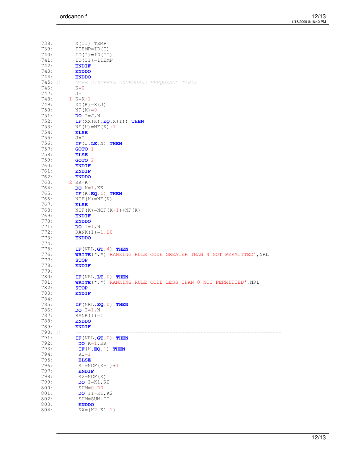| 738:         |  | $X(II) = TEMP$                                                           |
|--------------|--|--------------------------------------------------------------------------|
| 739:         |  | $ITERIP = ID(I)$                                                         |
| 740:         |  | $ID(I) = ID(II)$                                                         |
|              |  |                                                                          |
| 741:         |  | $ID(II)=ITEMP$                                                           |
| 742:         |  | <b>ENDIF</b>                                                             |
| 743:         |  | <b>ENDDO</b>                                                             |
| 744:         |  | <b>ENDDO</b>                                                             |
| 745: C       |  | MAKE DISCRETE UNGROUPED FREQUENCY TABLE                                  |
| 746:         |  | $K=0$                                                                    |
| 747:         |  | $J=1$                                                                    |
| 748:         |  | $1 K=K+1$                                                                |
|              |  |                                                                          |
| 749:         |  | $XX(K) = X(J)$                                                           |
| 750:         |  | $NF(K) = 0$                                                              |
| 751:         |  | $DO I=J, N$                                                              |
| 752:         |  | IF $(XX(K), EQ, X(I))$ THEN                                              |
| 753:         |  | $NF(K) = NF(K) + 1$                                                      |
| 754:         |  | <b>ELSE</b>                                                              |
| 755:         |  | $J = I$                                                                  |
| 756:         |  | $IF(J.LE.N)$ THEN                                                        |
| 757:         |  | GOTO 1                                                                   |
|              |  |                                                                          |
| 758:         |  | <b>ELSE</b>                                                              |
| 759:         |  | GOTO <sub>2</sub>                                                        |
| 760:         |  | <b>ENDIF</b>                                                             |
| 761:         |  | <b>ENDIF</b>                                                             |
| 762:         |  | <b>ENDDO</b>                                                             |
| 763:         |  | $2$ KK=K                                                                 |
| 764:         |  | $DO K=1, KK$                                                             |
| 765:         |  | $IF(K.EQ.1)$ THEN                                                        |
|              |  |                                                                          |
| 766:         |  | $NCF(K) = NF(K)$                                                         |
| 767:         |  | <b>ELSE</b>                                                              |
| 768:         |  | $NCF (K) = NCF (K-1) + NF (K)$                                           |
| 769:         |  | <b>ENDIF</b>                                                             |
| 770:         |  | <b>ENDDO</b>                                                             |
| 771:         |  | $DO I=1, N$                                                              |
| 772:         |  | RANK $(I) = 1.$ DO                                                       |
| 773:         |  | <b>ENDDO</b>                                                             |
| 774:         |  |                                                                          |
|              |  |                                                                          |
| 775:         |  | $IF(NRL.GT.4)$ THEN                                                      |
| 776:         |  | <b>WRITE</b> (*,*) 'RANKING RULE CODE GREATER THAN 4 NOT PERMITTED', NRL |
| 777:         |  | <b>STOP</b>                                                              |
| 778:         |  | <b>ENDIF</b>                                                             |
| 779:         |  |                                                                          |
| 780:         |  | $IF(NRL.LT.0)$ THEN                                                      |
| 781:         |  | WRITE (*,*) 'RANKING RULE CODE LESS THAN 0 NOT PERMITTED', NRL           |
| 782:         |  | <b>STOP</b>                                                              |
| 783:         |  | <b>ENDIF</b>                                                             |
|              |  |                                                                          |
| 784:         |  |                                                                          |
| 785:         |  | $IF(NRL.EQ.0)$ THEN                                                      |
| 786:         |  | $DO I=1, N$                                                              |
| 787:         |  | RANK $(I) = I$                                                           |
| 788:         |  | <b>ENDDO</b>                                                             |
| 789:         |  | <b>ENDIF</b>                                                             |
| 790: C       |  |                                                                          |
| 791:         |  | $IF(NRL.GT.0)$ THEN                                                      |
| 792:         |  | $DO K=1, KK$                                                             |
| 793:         |  | $IF(K.EQ.1)$ THEN                                                        |
|              |  |                                                                          |
|              |  |                                                                          |
| 794:         |  | $K1 = 1$                                                                 |
| 795:         |  | <b>ELSE</b>                                                              |
| 796:         |  | $K1 = NCF (K-1) + 1$                                                     |
| 797:         |  | <b>ENDIF</b>                                                             |
| 798:         |  | $K2=NCF(K)$                                                              |
| 799:         |  | $DO = K1, K2$                                                            |
| 800:         |  | $SUM=0.DD$                                                               |
| 801:         |  |                                                                          |
|              |  | DO $II=K1,K2$                                                            |
| 802:         |  | SUM=SUM+II                                                               |
| 803:<br>804: |  | <b>ENDDO</b><br>$KX = (K2 - K1 + 1)$                                     |